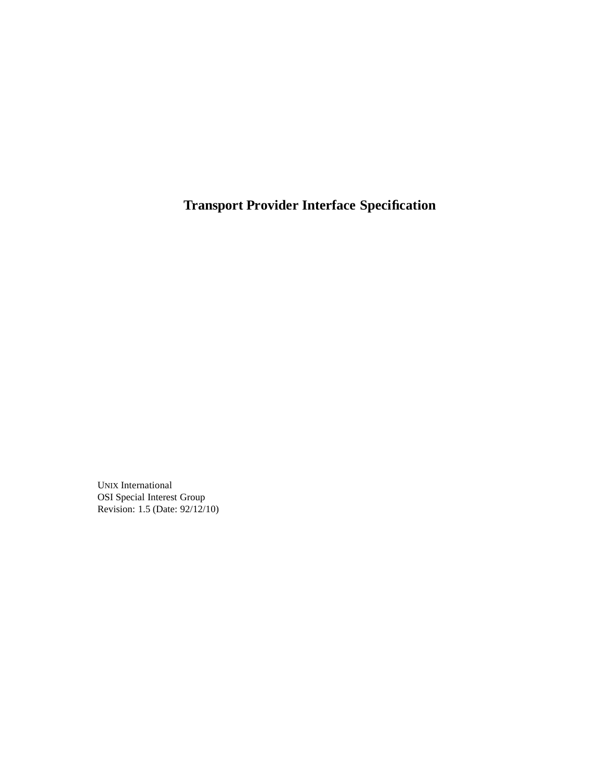**Transport Provider Interface Specification**

UNIX International OSI Special Interest Group Revision: 1.5 (Date: 92/12/10)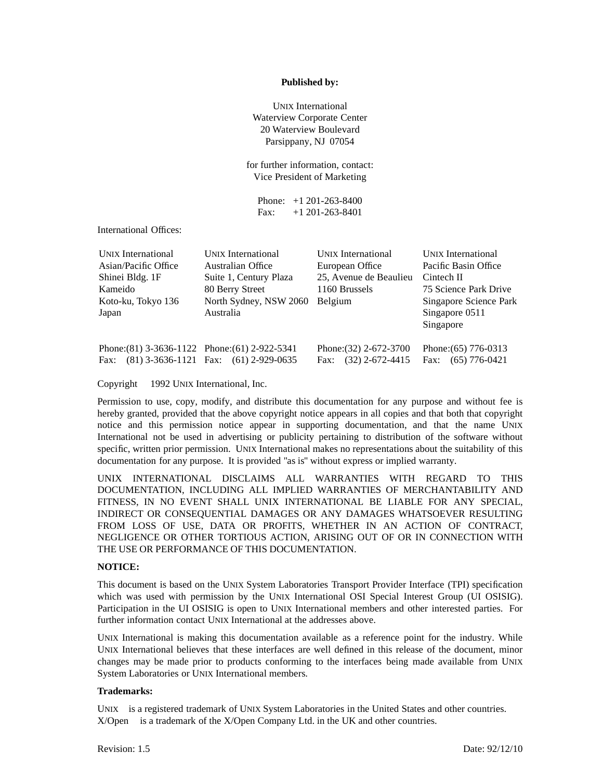#### **Published by:**

UNIX International Waterview Corporate Center 20 Waterview Boulevard Parsippany, NJ 07054

for further information, contact: Vice President of Marketing

Phone: +1 201-263-8400 Fax: +1 201-263-8401

International Offices:

| <b>UNIX</b> International                          | <b>UNIX</b> International | <b>UNIX</b> International | <b>UNIX</b> International |
|----------------------------------------------------|---------------------------|---------------------------|---------------------------|
| Asian/Pacific Office                               | Australian Office         | European Office           | Pacific Basin Office      |
| Shinei Bldg. 1F                                    | Suite 1, Century Plaza    | 25, Avenue de Beaulieu    | Cintech II                |
| Kameido                                            | 80 Berry Street           | 1160 Brussels             | 75 Science Park Drive     |
| Koto-ku, Tokyo 136                                 | North Sydney, NSW 2060    | Belgium                   | Singapore Science Park    |
| Japan                                              | Australia                 |                           | Singapore 0511            |
|                                                    |                           |                           | Singapore                 |
| Phone: $(81)$ 3-3636-1122 Phone: $(61)$ 2-922-5341 |                           | Phone: $(32)$ 2-672-3700  | Phone: (65) 776-0313      |
| Fax: $(81)$ 3-3636-1121 Fax: $(61)$ 2-929-0635     |                           | $(32)$ 2-672-4415<br>Fax: | Fax: $(65)$ 776-0421      |

Copyright © 1992 UNIX International, Inc.

Permission to use, copy, modify, and distribute this documentation for any purpose and without fee is hereby granted, provided that the above copyright notice appears in all copies and that both that copyright notice and this permission notice appear in supporting documentation, and that the name UNIX International not be used in advertising or publicity pertaining to distribution of the software without specific, written prior permission. UNIX International makes no representations about the suitability of this documentation for any purpose. It is provided "as is" without express or implied warranty.

UNIX INTERNATIONAL DISCLAIMS ALL WARRANTIES WITH REGARD TO THIS DOCUMENTATION, INCLUDING ALL IMPLIED WARRANTIES OF MERCHANTABILITY AND FITNESS, IN NO EVENT SHALL UNIX INTERNATIONAL BE LIABLE FOR ANY SPECIAL, INDIRECT OR CONSEQUENTIAL DAMAGES OR ANY DAMAGES WHATSOEVER RESULTING FROM LOSS OF USE, DATA OR PROFITS, WHETHER IN AN ACTION OF CONTRACT, NEGLIGENCE OR OTHER TORTIOUS ACTION, ARISING OUT OF OR IN CONNECTION WITH THE USE OR PERFORMANCE OF THIS DOCUMENTATION.

#### **NOTICE:**

This document is based on the UNIX System Laboratories Transport Provider Interface (TPI) specification which was used with permission by the UNIX International OSI Special Interest Group (UI OSISIG). Participation in the UI OSISIG is open to UNIX International members and other interested parties. For further information contact UNIX International at the addresses above.

UNIX International is making this documentation available as a reference point for the industry. While UNIX International believes that these interfaces are well defined in this release of the document, minor changes may be made prior to products conforming to the interfaces being made available from UNIX System Laboratories or UNIX International members.

#### **Trademarks:**

UNIX<sup>®</sup> is a registered trademark of UNIX System Laboratories in the United States and other countries.  $X/O$ pen<sup>™</sup> is a trademark of the  $X/O$ pen Company Ltd. in the UK and other countries.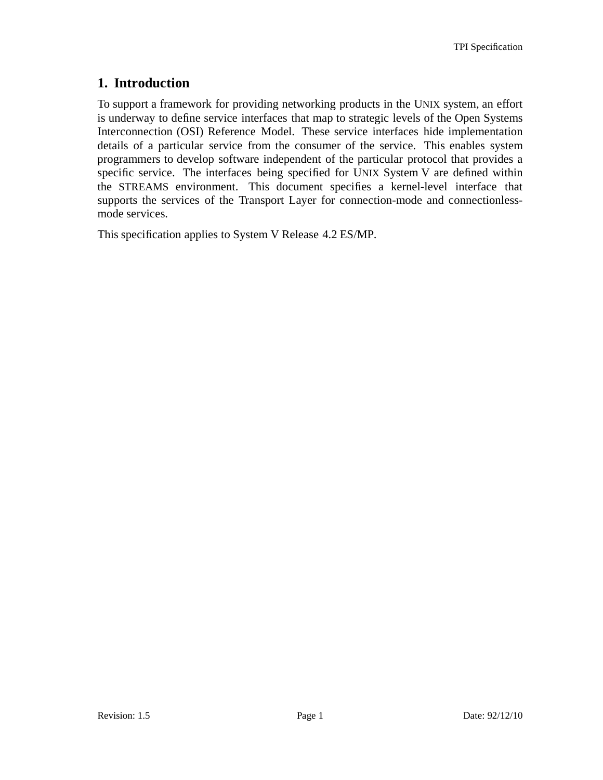# **1. Introduction**

To support a framework for providing networking products in the UNIX system, an effort is underway to define service interfaces that map to strategic levels of the Open Systems Interconnection (OSI) Reference Model. These service interfaces hide implementation details of a particular service from the consumer of the service. This enables system programmers to develop software independent of the particular protocol that provides a specific service. The interfaces being specified for UNIX System V are defined within the STREAMS environment. This document specifies a kernel-level interface that supports the services of the Transport Layer for connection-mode and connectionlessmode services.

This specification applies to System V Release 4.2 ES/MP.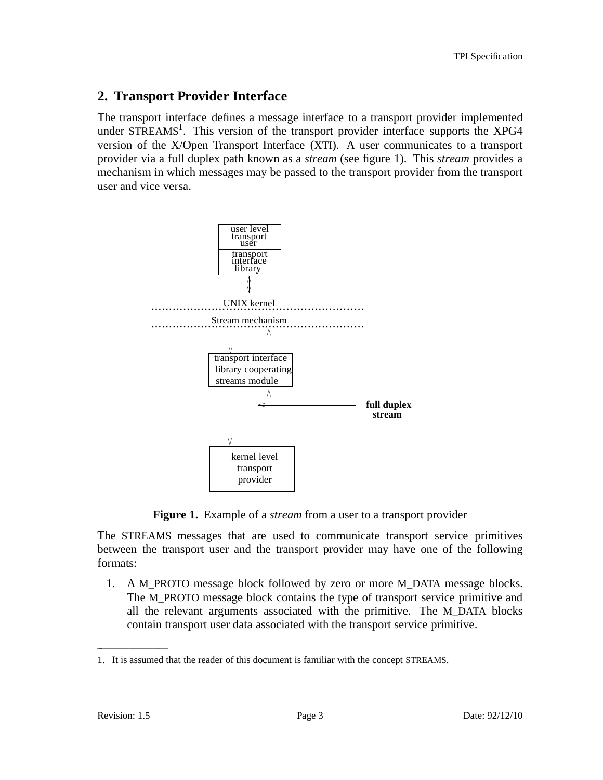## **2. Transport Provider Interface**

The transport interface defines a message interface to a transport provider implemented under STREAMS<sup>1</sup>. This version of the transport provider interface supports the XPG4 version of the X/Open Transport Interface (XTI). A user communicates to a transport provider via a full duplex path known as a *stream* (see figure 1). This *stream* provides a mechanism in which messages may be passed to the transport provider from the transport user and vice versa.



**Figure 1.** Example of a *stream* from a user to a transport provider

The STREAMS messages that are used to communicate transport service primitives between the transport user and the transport provider may have one of the following formats:

1. A M\_PROTO message block followed by zero or more M\_DATA message blocks. The M\_PROTO message block contains the type of transport service primitive and all the relevant arguments associated with the primitive. The M\_DATA blocks contain transport user data associated with the transport service primitive.

 $\overline{\phantom{a}}$  , where  $\overline{\phantom{a}}$ 

<sup>1.</sup> It is assumed that the reader of this document is familiar with the concept STREAMS.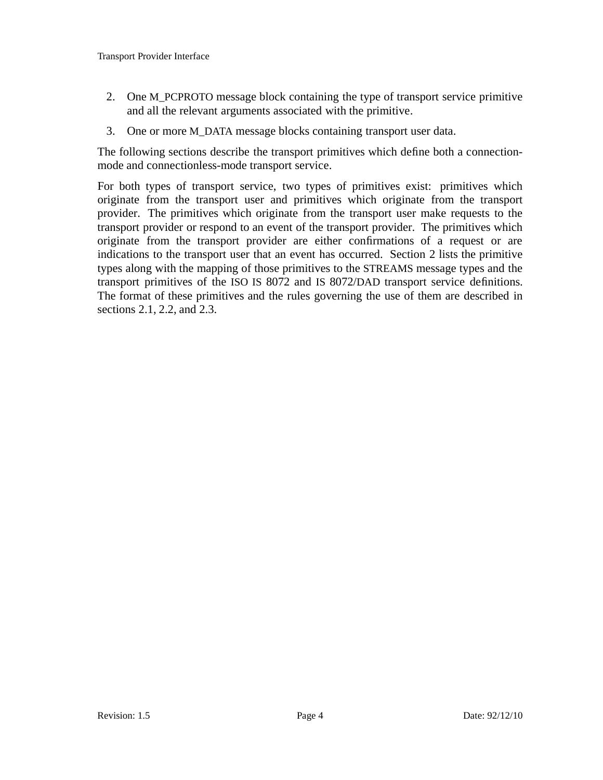- 2. One M\_PCPROTO message block containing the type of transport service primitive and all the relevant arguments associated with the primitive.
- 3. One or more M\_DATA message blocks containing transport user data.

The following sections describe the transport primitives which define both a connectionmode and connectionless-mode transport service.

For both types of transport service, two types of primitives exist: primitives which originate from the transport user and primitives which originate from the transport provider. The primitives which originate from the transport user make requests to the transport provider or respond to an event of the transport provider. The primitives which originate from the transport provider are either confirmations of a request or are indications to the transport user that an event has occurred. Section 2 lists the primitive types along with the mapping of those primitives to the STREAMS message types and the transport primitives of the ISO IS 8072 and IS 8072/DAD transport service definitions. The format of these primitives and the rules governing the use of them are described in sections 2.1, 2.2, and 2.3.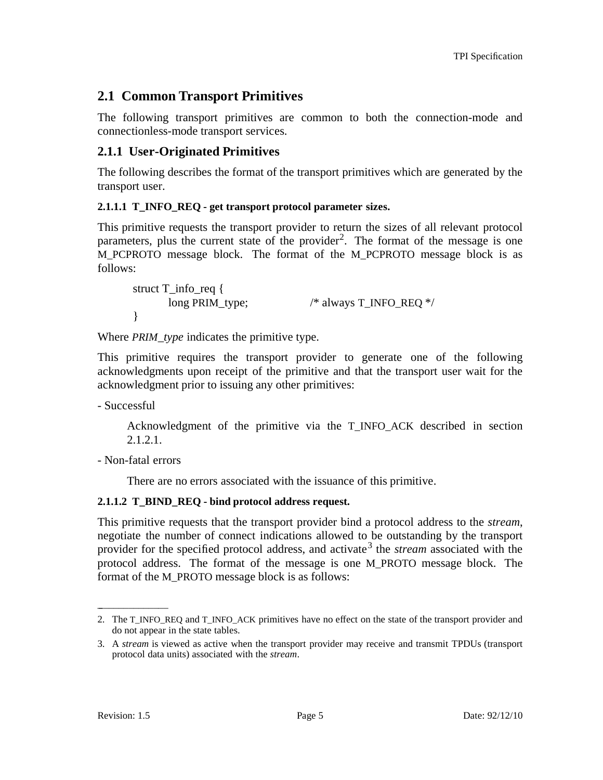# **2.1 Common Transport Primitives**

The following transport primitives are common to both the connection-mode and connectionless-mode transport services.

## **2.1.1 User-Originated Primitives**

The following describes the format of the transport primitives which are generated by the transport user.

### **2.1.1.1 T\_INFO\_REQ - get transport protocol parameter sizes.**

This primitive requests the transport provider to return the sizes of all relevant protocol parameters, plus the current state of the provider<sup>2</sup>. The format of the message is one M\_PCPROTO message block. The format of the M\_PCPROTO message block is as follows:

struct T\_info\_req { long PRIM\_type; /\* always T\_INFO\_REQ \*/ }

Where *PRIM\_type* indicates the primitive type.

This primitive requires the transport provider to generate one of the following acknowledgments upon receipt of the primitive and that the transport user wait for the acknowledgment prior to issuing any other primitives:

- Successful

Acknowledgment of the primitive via the T\_INFO\_ACK described in section 2.1.2.1.

- Non-fatal errors

There are no errors associated with the issuance of this primitive.

### **2.1.1.2 T\_BIND\_REQ - bind protocol address request.**

This primitive requests that the transport provider bind a protocol address to the *stream*, negotiate the number of connect indications allowed to be outstanding by the transport provider for the specified protocol address, and activate<sup>3</sup> the *stream* associated with the protocol address. The format of the message is one M\_PROTO message block. The format of the M\_PROTO message block is as follows:

\_ \_\_\_\_\_\_\_\_\_\_\_\_\_

<sup>2.</sup> The T\_INFO\_REQ and T\_INFO\_ACK primitives have no effect on the state of the transport provider and do not appear in the state tables.

<sup>3.</sup> A *stream* is viewed as active when the transport provider may receive and transmit TPDUs (transport protocol data units) associated with the *stream*.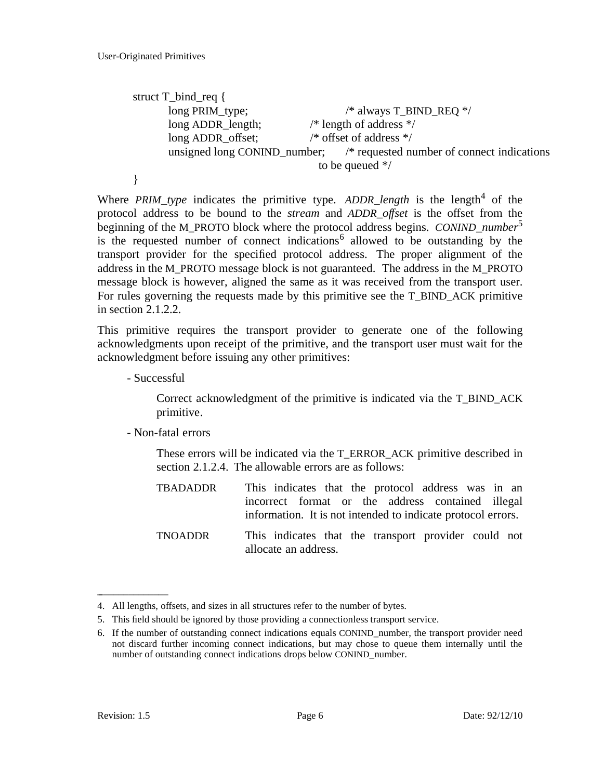```
struct T_bind_req {
     long PRIM_type; / /* always T_BIND_REQ */
      long ADDR_length; /* length of address */
      long ADDR offset; /* offset of address */unsigned long CONIND_number; /* requested number of connect indications
                               to be queued */
}
```
Where *PRIM\_type* indicates the primitive type. ADDR\_length is the length<sup>4</sup> of the protocol address to be bound to the *stream* and *ADDR offset* is the offset from the beginning of the M\_PROTO block where the protocol address begins. *CONIND\_number*<sup>5</sup> is the requested number of connect indications<sup>6</sup> allowed to be outstanding by the transport provider for the specified protocol address. The proper alignment of the address in the M\_PROTO message block is not guaranteed. The address in the M\_PROTO message block is however, aligned the same as it was received from the transport user. For rules governing the requests made by this primitive see the T\_BIND\_ACK primitive in section 2.1.2.2.

This primitive requires the transport provider to generate one of the following acknowledgments upon receipt of the primitive, and the transport user must wait for the acknowledgment before issuing any other primitives:

- Successful

Correct acknowledgment of the primitive is indicated via the T\_BIND\_ACK primitive.

- Non-fatal errors

These errors will be indicated via the T\_ERROR\_ACK primitive described in section 2.1.2.4. The allowable errors are as follows:

- TBADADDR This indicates that the protocol address was in an incorrect format or the address contained illegal information. It is not intended to indicate protocol errors.
- TNOADDR This indicates that the transport provider could not allocate an address.

\_ \_\_\_\_\_\_\_\_\_\_\_\_\_

<sup>4.</sup> All lengths, offsets, and sizes in all structures refer to the number of bytes.

<sup>5.</sup> This field should be ignored by those providing a connectionless transport service.

<sup>6.</sup> If the number of outstanding connect indications equals CONIND\_number, the transport provider need not discard further incoming connect indications, but may chose to queue them internally until the number of outstanding connect indications drops below CONIND\_number.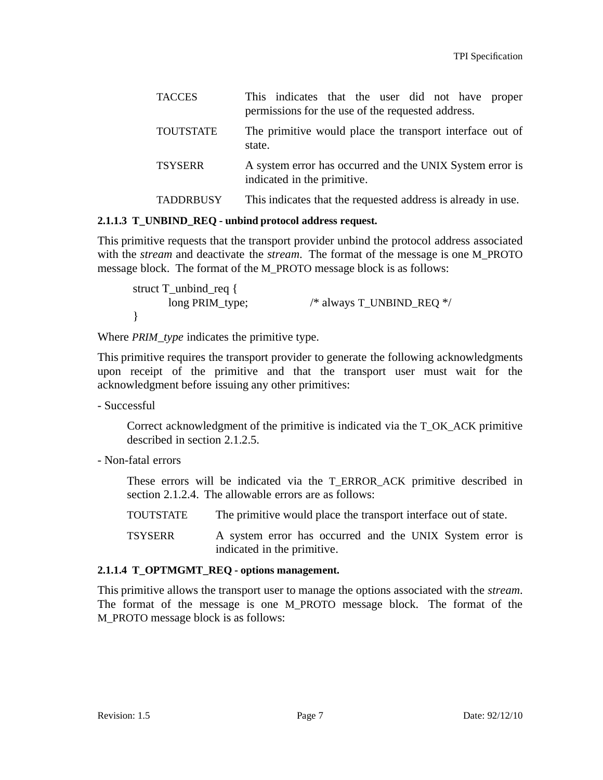| <b>TACCES</b>    | This indicates that the user did not have proper<br>permissions for the use of the requested address. |
|------------------|-------------------------------------------------------------------------------------------------------|
| <b>TOUTSTATE</b> | The primitive would place the transport interface out of<br>state.                                    |
| <b>TSYSERR</b>   | A system error has occurred and the UNIX System error is<br>indicated in the primitive.               |
| <b>TADDRBUSY</b> | This indicates that the requested address is already in use.                                          |

#### **2.1.1.3 T\_UNBIND\_REQ - unbind protocol address request.**

This primitive requests that the transport provider unbind the protocol address associated with the *stream* and deactivate the *stream*. The format of the message is one M\_PROTO message block. The format of the M\_PROTO message block is as follows:

struct T\_unbind\_req { long PRIM\_type; /\* always T\_UNBIND\_REQ \*/ }

Where *PRIM\_type* indicates the primitive type.

This primitive requires the transport provider to generate the following acknowledgments upon receipt of the primitive and that the transport user must wait for the acknowledgment before issuing any other primitives:

- Successful

Correct acknowledgment of the primitive is indicated via the T\_OK\_ACK primitive described in section 2.1.2.5.

- Non-fatal errors

These errors will be indicated via the T\_ERROR\_ACK primitive described in section 2.1.2.4. The allowable errors are as follows:

- TOUTSTATE The primitive would place the transport interface out of state.
- TSYSERR A system error has occurred and the UNIX System error is indicated in the primitive.

#### **2.1.1.4 T\_OPTMGMT\_REQ - options management.**

This primitive allows the transport user to manage the options associated with the *stream*. The format of the message is one M\_PROTO message block. The format of the M\_PROTO message block is as follows: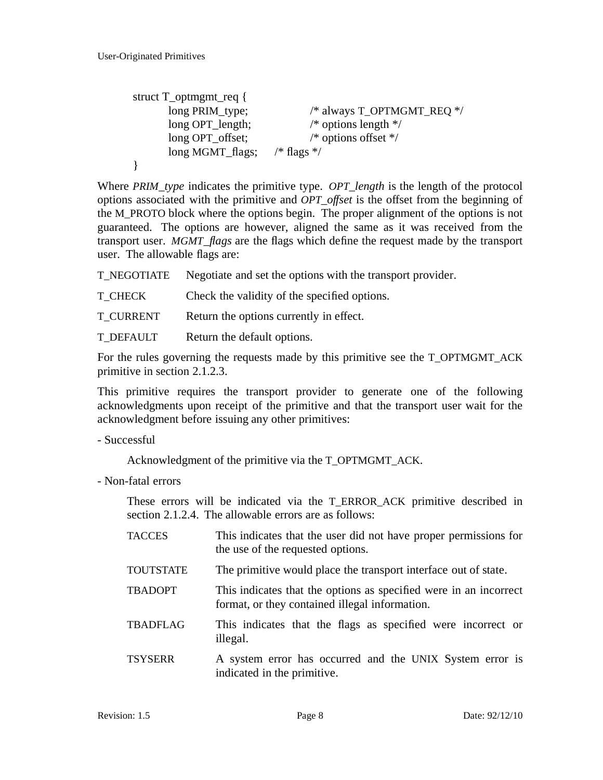```
struct T_optmgmt_req {
      long PRIM_type; /* always T_OPTMGMT_REQ */
      long OPT_length; /* options length */
      long OPT_offset; \frac{1}{2} /* options offset */
      long MGMT_flags; /* flags */
}
```
Where *PRIM\_type* indicates the primitive type. *OPT\_length* is the length of the protocol options associated with the primitive and *OPT\_offset* is the offset from the beginning of the M\_PROTO block where the options begin. The proper alignment of the options is not guaranteed. The options are however, aligned the same as it was received from the transport user. *MGMT\_flags* are the flags which define the request made by the transport user. The allowable flags are:

T\_NEGOTIATE Negotiate and set the options with the transport provider.

T\_CHECK Check the validity of the specified options.

T\_CURRENT Return the options currently in effect.

T\_DEFAULT Return the default options.

For the rules governing the requests made by this primitive see the T\_OPTMGMT\_ACK primitive in section 2.1.2.3.

This primitive requires the transport provider to generate one of the following acknowledgments upon receipt of the primitive and that the transport user wait for the acknowledgment before issuing any other primitives:

- Successful

Acknowledgment of the primitive via the T\_OPTMGMT\_ACK.

- Non-fatal errors

These errors will be indicated via the T\_ERROR\_ACK primitive described in section 2.1.2.4. The allowable errors are as follows:

| <b>TACCES</b>    | This indicates that the user did not have proper permissions for<br>the use of the requested options.               |
|------------------|---------------------------------------------------------------------------------------------------------------------|
| <b>TOUTSTATE</b> | The primitive would place the transport interface out of state.                                                     |
| <b>TBADOPT</b>   | This indicates that the options as specified were in an incorrect<br>format, or they contained illegal information. |
| <b>TBADFLAG</b>  | This indicates that the flags as specified were incorrect or<br>illegal.                                            |
| <b>TSYSERR</b>   | A system error has occurred and the UNIX System error is<br>indicated in the primitive.                             |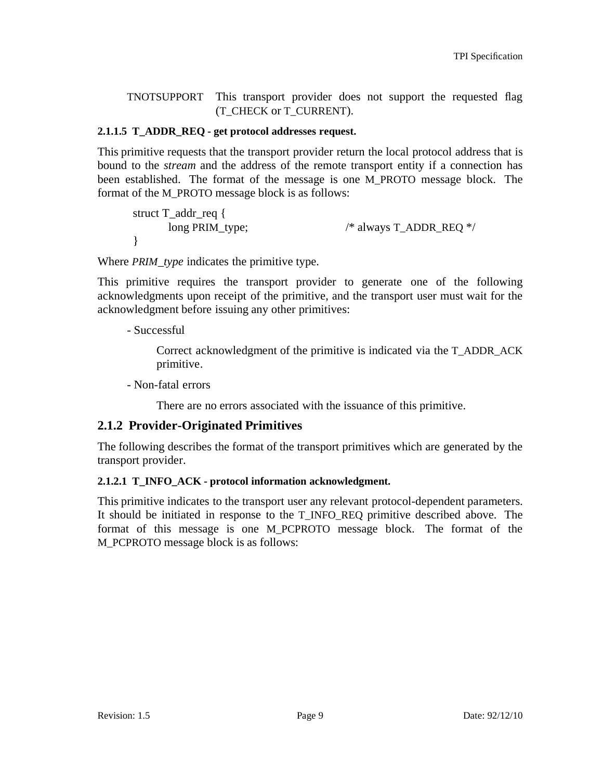TNOTSUPPORT This transport provider does not support the requested flag (T\_CHECK or T\_CURRENT).

#### **2.1.1.5 T\_ADDR\_REQ - get protocol addresses request.**

This primitive requests that the transport provider return the local protocol address that is bound to the *stream* and the address of the remote transport entity if a connection has been established. The format of the message is one M\_PROTO message block. The format of the M\_PROTO message block is as follows:

struct T\_addr\_req { long PRIM\_type; /\* always T\_ADDR\_REQ \*/ }

Where *PRIM\_type* indicates the primitive type.

This primitive requires the transport provider to generate one of the following acknowledgments upon receipt of the primitive, and the transport user must wait for the acknowledgment before issuing any other primitives:

- Successful

Correct acknowledgment of the primitive is indicated via the T\_ADDR\_ACK primitive.

- Non-fatal errors

There are no errors associated with the issuance of this primitive.

### **2.1.2 Provider-Originated Primitives**

The following describes the format of the transport primitives which are generated by the transport provider.

### **2.1.2.1 T\_INFO\_ACK - protocol information acknowledgment.**

This primitive indicates to the transport user any relevant protocol-dependent parameters. It should be initiated in response to the T\_INFO\_REQ primitive described above. The format of this message is one M\_PCPROTO message block. The format of the M\_PCPROTO message block is as follows: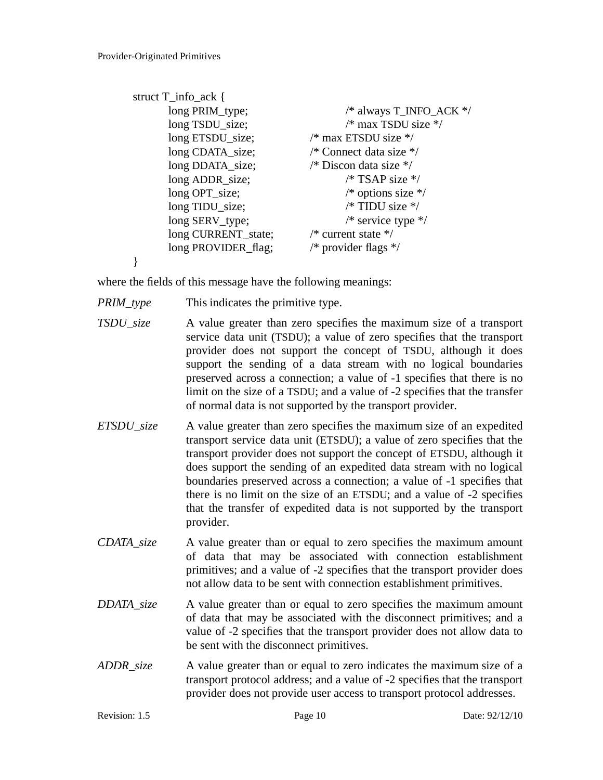```
struct T_info_ack {
      long PRIM_type; / /* always T_INFO_ACK */
      long TSDU_size; /* max TSDU size */
      long ETSDU_size; /* max ETSDU size */
      long CDATA_size; /* Connect data size */
      long DDATA size; \frac{1}{2} /* Discon data size */
      long ADDR size; /* TSAP size */
      long OPT_size; /* options size */
      long TIDU size; \frac{1}{2} /* TIDU size */
      long SERV type; \frac{1}{2} /* service type */
      long CURRENT state; /* current state */
      long PROVIDER_flag; \frac{\text{#} \times \text{#}}{\text{#}} /* provider flags */
}
```
where the fields of this message have the following meanings:

- *PRIM\_type* This indicates the primitive type.
- *TSDU\_size* A value greater than zero specifies the maximum size of a transport service data unit (TSDU); a value of zero specifies that the transport provider does not support the concept of TSDU, although it does support the sending of a data stream with no logical boundaries preserved across a connection; a value of -1 specifies that there is no limit on the size of a TSDU; and a value of -2 specifies that the transfer of normal data is not supported by the transport provider.
- *ETSDU\_size* A value greater than zero specifies the maximum size of an expedited transport service data unit (ETSDU); a value of zero specifies that the transport provider does not support the concept of ETSDU, although it does support the sending of an expedited data stream with no logical boundaries preserved across a connection; a value of -1 specifies that there is no limit on the size of an ETSDU; and a value of -2 specifies that the transfer of expedited data is not supported by the transport provider.
- *CDATA\_size* A value greater than or equal to zero specifies the maximum amount of data that may be associated with connection establishment primitives; and a value of -2 specifies that the transport provider does not allow data to be sent with connection establishment primitives.
- *DDATA\_size* A value greater than or equal to zero specifies the maximum amount of data that may be associated with the disconnect primitives; and a value of -2 specifies that the transport provider does not allow data to be sent with the disconnect primitives.
- *ADDR\_size* A value greater than or equal to zero indicates the maximum size of a transport protocol address; and a value of -2 specifies that the transport provider does not provide user access to transport protocol addresses.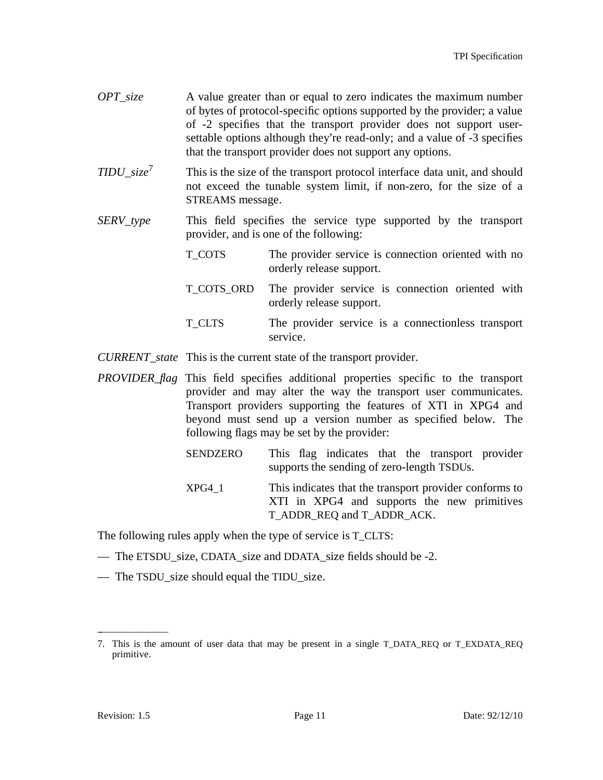- *OPT\_size* A value greater than or equal to zero indicates the maximum number of bytes of protocol-specific options supported by the provider; a value of -2 specifies that the transport provider does not support usersettable options although they're read-only; and a value of -3 specifies that the transport provider does not support any options.
- *TIDU\_size*<sup>7</sup> This is the size of the transport protocol interface data unit, and should not exceed the tunable system limit, if non-zero, for the size of a STREAMS message.
- *SERV\_type* This field specifies the service type supported by the transport provider, and is one of the following:
	- T\_COTS The provider service is connection oriented with no orderly release support.
	- T\_COTS\_ORD The provider service is connection oriented with orderly release support.
	- T\_CLTS The provider service is a connectionless transport service.
- *CURRENT\_state* This is the current state of the transport provider.
- *PROVIDER\_flag* This field specifies additional properties specific to the transport provider and may alter the way the transport user communicates. Transport providers supporting the features of XTI in XPG4 and beyond must send up a version number as specified below. The following flags may be set by the provider:
	- SENDZERO This flag indicates that the transport provider supports the sending of zero-length TSDUs.
	- XPG4\_1 This indicates that the transport provider conforms to XTI in XPG4 and supports the new primitives T\_ADDR\_REQ and T\_ADDR\_ACK.

The following rules apply when the type of service is T\_CLTS:

- The ETSDU\_size, CDATA\_size and DDATA\_size fields should be -2.
- The TSDU\_size should equal the TIDU\_size.

\_ \_\_\_\_\_\_\_\_\_\_\_\_\_

<sup>7.</sup> This is the amount of user data that may be present in a single T\_DATA\_REQ or T\_EXDATA\_REQ primitive.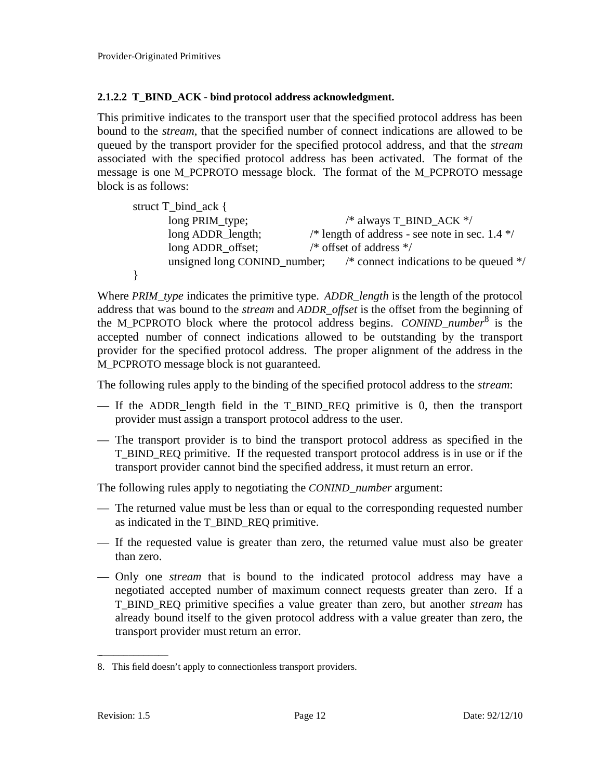### **2.1.2.2 T\_BIND\_ACK - bind protocol address acknowledgment.**

This primitive indicates to the transport user that the specified protocol address has been bound to the *stream*, that the specified number of connect indications are allowed to be queued by the transport provider for the specified protocol address, and that the *stream* associated with the specified protocol address has been activated. The format of the message is one M\_PCPROTO message block. The format of the M\_PCPROTO message block is as follows:

| struct $T_{bind}\_\text{ack}$ { |                                                                                   |
|---------------------------------|-----------------------------------------------------------------------------------|
| long PRIM_type;                 | /* always T_BIND_ACK $*/$                                                         |
| long ADDR_length;               | /* length of address - see note in sec. $1.4$ */                                  |
| long ADDR_offset;               | /* offset of address $*/$                                                         |
|                                 | unsigned long CONIND_number; $\frac{1}{2}$ /* connect indications to be queued */ |
|                                 |                                                                                   |

Where *PRIM\_type* indicates the primitive type. *ADDR\_length* is the length of the protocol address that was bound to the *stream* and *ADDR\_of set* is the offset from the beginning of the M\_PCPROTO block where the protocol address begins. *CONIND\_number*<sup>8</sup> is the accepted number of connect indications allowed to be outstanding by the transport provider for the specified protocol address. The proper alignment of the address in the M\_PCPROTO message block is not guaranteed.

The following rules apply to the binding of the specified protocol address to the *stream*:

- If the ADDR\_length field in the T\_BIND\_REQ primitive is 0, then the transport provider must assign a transport protocol address to the user.
- The transport provider is to bind the transport protocol address as specified in the T\_BIND\_REQ primitive. If the requested transport protocol address is in use or if the transport provider cannot bind the specified address, it must return an error.

The following rules apply to negotiating the *CONIND\_number* argument:

- The returned value must be less than or equal to the corresponding requested number as indicated in the T\_BIND\_REQ primitive.
- If the requested value is greater than zero, the returned value must also be greater than zero.
- Only one *stream* that is bound to the indicated protocol address may have a negotiated accepted number of maximum connect requests greater than zero. If a T\_BIND\_REQ primitive specifies a value greater than zero, but another *stream* has already bound itself to the given protocol address with a value greater than zero, the transport provider must return an error.

\_ \_\_\_\_\_\_\_\_\_\_\_\_\_

<sup>8.</sup> This field doesn't apply to connectionless transport providers.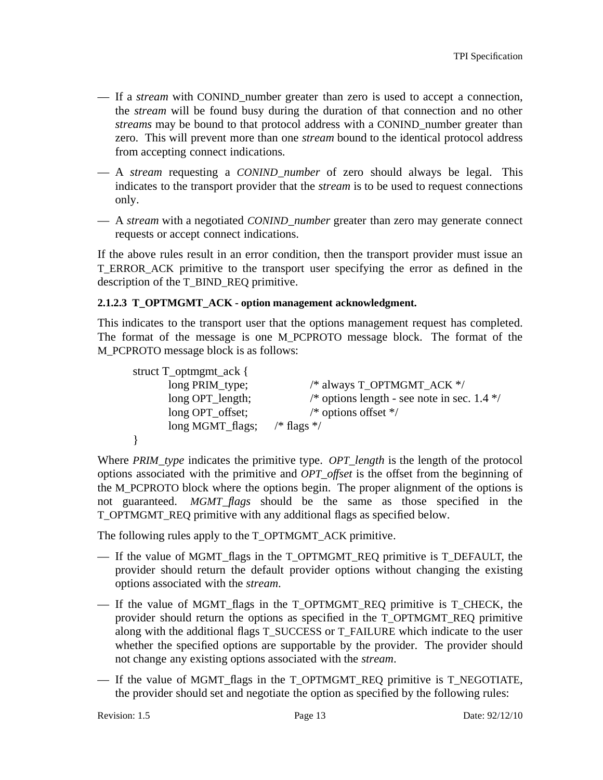- If a *stream* with CONIND\_number greater than zero is used to accept a connection, the *stream* will be found busy during the duration of that connection and no other *streams* may be bound to that protocol address with a CONIND\_number greater than zero. This will prevent more than one *stream* bound to the identical protocol address from accepting connect indications.
- A *stream* requesting a *CONIND\_number* of zero should always be legal. This indicates to the transport provider that the *stream* is to be used to request connections only.
- A *stream* with a negotiated *CONIND\_number* greater than zero may generate connect requests or accept connect indications.

If the above rules result in an error condition, then the transport provider must issue an T\_ERROR\_ACK primitive to the transport user specifying the error as defined in the description of the T\_BIND\_REQ primitive.

### **2.1.2.3 T\_OPTMGMT\_ACK - option management acknowledgment.**

This indicates to the transport user that the options management request has completed. The format of the message is one M\_PCPROTO message block. The format of the M\_PCPROTO message block is as follows:

| struct T_optmgmt_ack { |                                               |
|------------------------|-----------------------------------------------|
| long PRIM_type;        | /* always T_OPTMGMT_ACK */                    |
| long OPT_length;       | /* options length - see note in sec. $1.4$ */ |
| long OPT_offset;       | $/*$ options offset $*/$                      |
| long MGMT_flags;       | /* flags $*/$                                 |
|                        |                                               |

Where *PRIM\_type* indicates the primitive type. *OPT\_length* is the length of the protocol options associated with the primitive and *OPT\_offset* is the offset from the beginning of the M\_PCPROTO block where the options begin. The proper alignment of the options is not guaranteed. *MGMT\_flags* should be the same as those specified in the T\_OPTMGMT\_REQ primitive with any additional flags as specified below.

The following rules apply to the T\_OPTMGMT\_ACK primitive.

- If the value of MGMT\_flags in the T\_OPTMGMT\_REQ primitive is T\_DEFAULT, the provider should return the default provider options without changing the existing options associated with the *stream*.
- If the value of MGMT\_flags in the T\_OPTMGMT\_REQ primitive is T\_CHECK, the provider should return the options as specified in the T\_OPTMGMT\_REQ primitive along with the additional flags T\_SUCCESS or T\_FAILURE which indicate to the user whether the specified options are supportable by the provider. The provider should not change any existing options associated with the *stream*.
- If the value of MGMT\_flags in the T\_OPTMGMT\_REQ primitive is T\_NEGOTIATE, the provider should set and negotiate the option as specified by the following rules: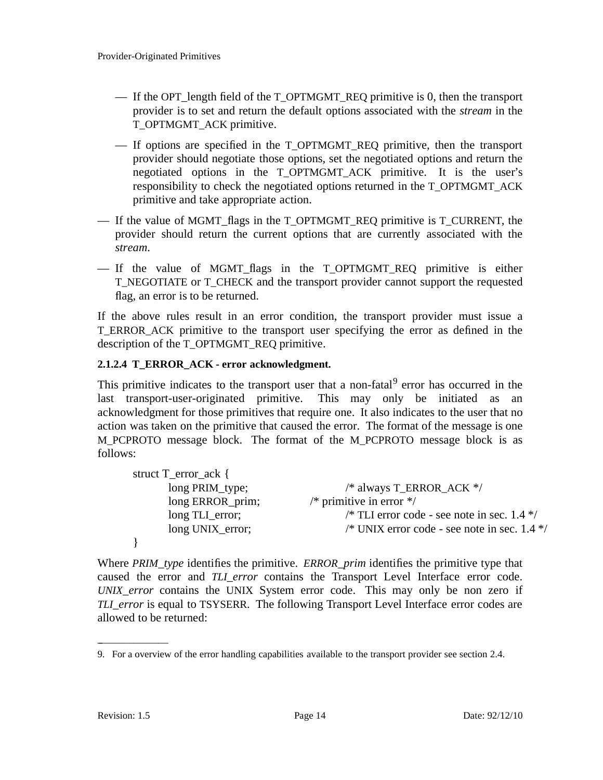- If the OPT\_length field of the T\_OPTMGMT\_REQ primitive is 0, then the transport provider is to set and return the default options associated with the *stream* in the T\_OPTMGMT\_ACK primitive.
- If options are specified in the T\_OPTMGMT\_REQ primitive, then the transport provider should negotiate those options, set the negotiated options and return the negotiated options in the T\_OPTMGMT\_ACK primitive. It is the user's responsibility to check the negotiated options returned in the T\_OPTMGMT\_ACK primitive and take appropriate action.
- If the value of MGMT flags in the T\_OPTMGMT\_REQ primitive is T\_CURRENT, the provider should return the current options that are currently associated with the *stream*.
- If the value of MGMT\_flags in the T\_OPTMGMT\_REQ primitive is either T\_NEGOTIATE or T\_CHECK and the transport provider cannot support the requested flag, an error is to be returned.

If the above rules result in an error condition, the transport provider must issue a T\_ERROR\_ACK primitive to the transport user specifying the error as defined in the description of the T\_OPTMGMT\_REQ primitive.

### **2.1.2.4 T\_ERROR\_ACK - error acknowledgment.**

This primitive indicates to the transport user that a non-fatal<sup>9</sup> error has occurred in the last transport-user-originated primitive. This may only be initiated as an acknowledgment for those primitives that require one. It also indicates to the user that no action was taken on the primitive that caused the error. The format of the message is one M\_PCPROTO message block. The format of the M\_PCPROTO message block is as follows:

| struct $T_error$ <sub>_</sub> ack { |                                                |
|-------------------------------------|------------------------------------------------|
| long PRIM_type;                     | /* always T_ERROR_ACK */                       |
| long ERROR_prim;                    | /* primitive in error $*/$                     |
| long TLI_error;                     | /* TLI error code - see note in sec. $1.4$ */  |
| long UNIX_error;                    | /* UNIX error code - see note in sec. $1.4$ */ |
|                                     |                                                |

Where *PRIM\_type* identifies the primitive. *ERROR\_prim* identifies the primitive type that caused the error and *TLI\_error* contains the Transport Level Interface error code. *UNIX\_error* contains the UNIX System error code. This may only be non zero if *TLI\_error* is equal to TSYSERR. The following Transport Level Interface error codes are allowed to be returned:

\_ \_\_\_\_\_\_\_\_\_\_\_\_\_

<sup>9.</sup> For a overview of the error handling capabilities available to the transport provider see section 2.4.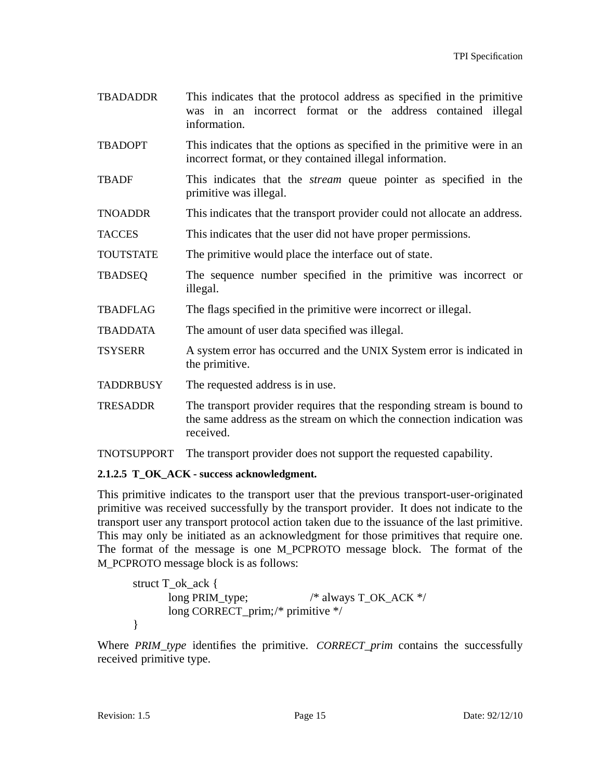- TBADADDR This indicates that the protocol address as specified in the primitive was in an incorrect format or the address contained illegal information.
- TBADOPT This indicates that the options as specified in the primitive were in an incorrect format, or they contained illegal information.
- TBADF This indicates that the *stream* queue pointer as specified in the primitive was illegal.
- TNOADDR This indicates that the transport provider could not allocate an address.
- TACCES This indicates that the user did not have proper permissions.
- TOUTSTATE The primitive would place the interface out of state.
- TBADSEQ The sequence number specified in the primitive was incorrect or illegal.
- TBADFLAG The flags specified in the primitive were incorrect or illegal.
- TBADDATA The amount of user data specified was illegal.
- TSYSERR A system error has occurred and the UNIX System error is indicated in the primitive.
- TADDRBUSY The requested address is in use.
- TRESADDR The transport provider requires that the responding stream is bound to the same address as the stream on which the connection indication was received.
- TNOTSUPPORT The transport provider does not support the requested capability.

### **2.1.2.5 T\_OK\_ACK - success acknowledgment.**

This primitive indicates to the transport user that the previous transport-user-originated primitive was received successfully by the transport provider. It does not indicate to the transport user any transport protocol action taken due to the issuance of the last primitive. This may only be initiated as an acknowledgment for those primitives that require one. The format of the message is one M\_PCPROTO message block. The format of the M\_PCPROTO message block is as follows:

```
struct T_ok_ack {
      long PRIM_type; /* always T_OK_ACK */long CORRECT_prim;/* primitive */
}
```
Where *PRIM\_type* identifies the primitive. *CORRECT\_prim* contains the successfully received primitive type.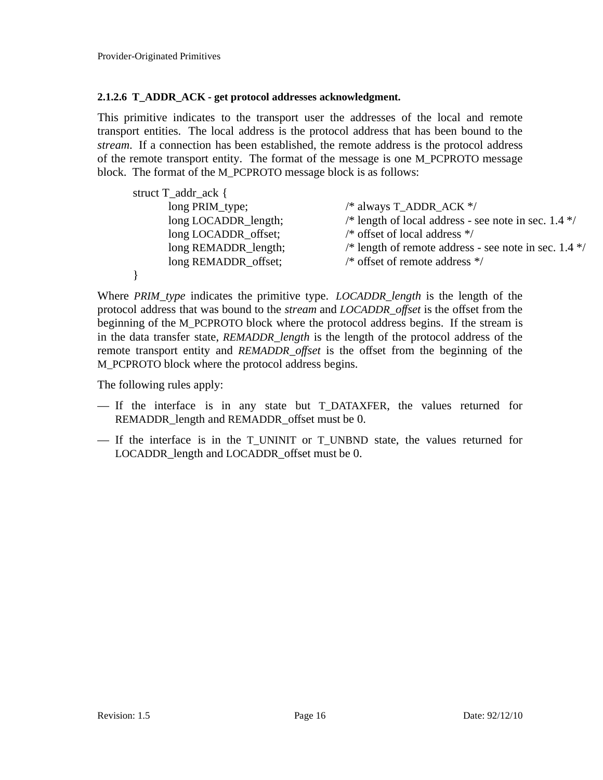#### **2.1.2.6 T\_ADDR\_ACK - get protocol addresses acknowledgment.**

This primitive indicates to the transport user the addresses of the local and remote transport entities. The local address is the protocol address that has been bound to the *stream*. If a connection has been established, the remote address is the protocol address of the remote transport entity. The format of the message is one M\_PCPROTO message block. The format of the M\_PCPROTO message block is as follows:

| struct T_addr_ack {  |                                                         |
|----------------------|---------------------------------------------------------|
| long PRIM_type;      | /* always T_ADDR_ACK $*/$                               |
| long LOCADDR_length; | /* length of local address - see note in sec. $1.4$ */  |
| long LOCADDR_offset; | $/*$ offset of local address $*/$                       |
| long REMADDR_length; | /* length of remote address - see note in sec. $1.4$ */ |
| long REMADDR_offset; | $/*$ offset of remote address $*/$                      |
|                      |                                                         |

Where *PRIM\_type* indicates the primitive type. *LOCADDR\_length* is the length of the protocol address that was bound to the *stream* and *LOCADDR\_offset* is the offset from the beginning of the M\_PCPROTO block where the protocol address begins. If the stream is in the data transfer state, *REMADDR\_length* is the length of the protocol address of the remote transport entity and *REMADDR offset* is the offset from the beginning of the M\_PCPROTO block where the protocol address begins.

The following rules apply:

- If the interface is in any state but T\_DATAXFER, the values returned for REMADDR\_length and REMADDR\_offset must be 0.
- If the interface is in the T\_UNINIT or T\_UNBND state, the values returned for LOCADDR\_length and LOCADDR\_offset must be 0.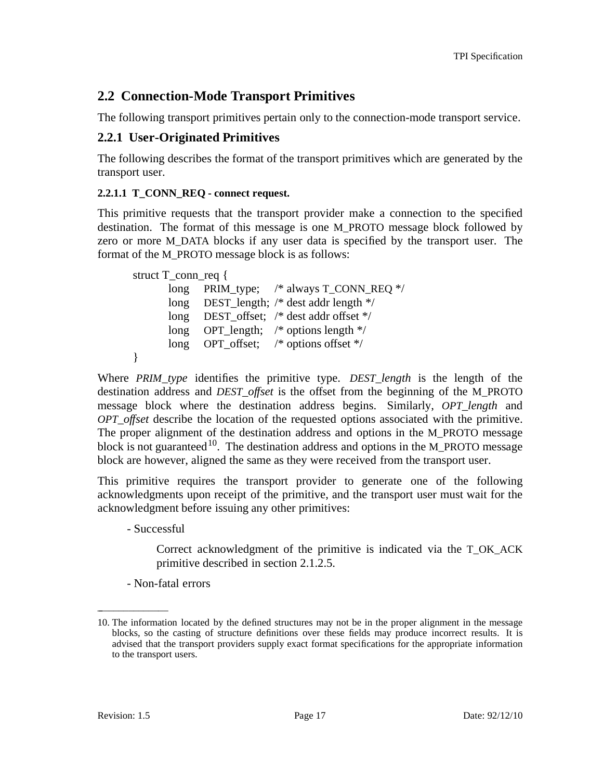# **2.2 Connection-Mode Transport Primitives**

The following transport primitives pertain only to the connection-mode transport service.

## **2.2.1 User-Originated Primitives**

The following describes the format of the transport primitives which are generated by the transport user.

### **2.2.1.1 T\_CONN\_REQ - connect request.**

This primitive requests that the transport provider make a connection to the specified destination. The format of this message is one M\_PROTO message block followed by zero or more M\_DATA blocks if any user data is specified by the transport user. The format of the M\_PROTO message block is as follows:

```
struct T_conn_req {
      long PRIM type; /* always T_CONN_REQ */
      long DEST length; /* dest addr length */long DEST_offset; /* dest addr offset */
      long OPT_length; /* options length */
      long OPT_offset; /* options offset */
}
```
Where *PRIM\_type* identifies the primitive type. *DEST\_length* is the length of the destination address and *DEST\_of set* is the offset from the beginning of the M\_PROTO message block where the destination address begins. Similarly, *OPT\_length* and *OPT\_of set* describe the location of the requested options associated with the primitive. The proper alignment of the destination address and options in the M\_PROTO message block is not guaranteed<sup>10</sup>. The destination address and options in the M\_PROTO message block are however, aligned the same as they were received from the transport user.

This primitive requires the transport provider to generate one of the following acknowledgments upon receipt of the primitive, and the transport user must wait for the acknowledgment before issuing any other primitives:

- Successful

Correct acknowledgment of the primitive is indicated via the T\_OK\_ACK primitive described in section 2.1.2.5.

- Non-fatal errors

\_ \_\_\_\_\_\_\_\_\_\_\_\_\_

<sup>10.</sup> The information located by the defined structures may not be in the proper alignment in the message blocks, so the casting of structure definitions over these fields may produce incorrect results. It is advised that the transport providers supply exact format specifications for the appropriate information to the transport users.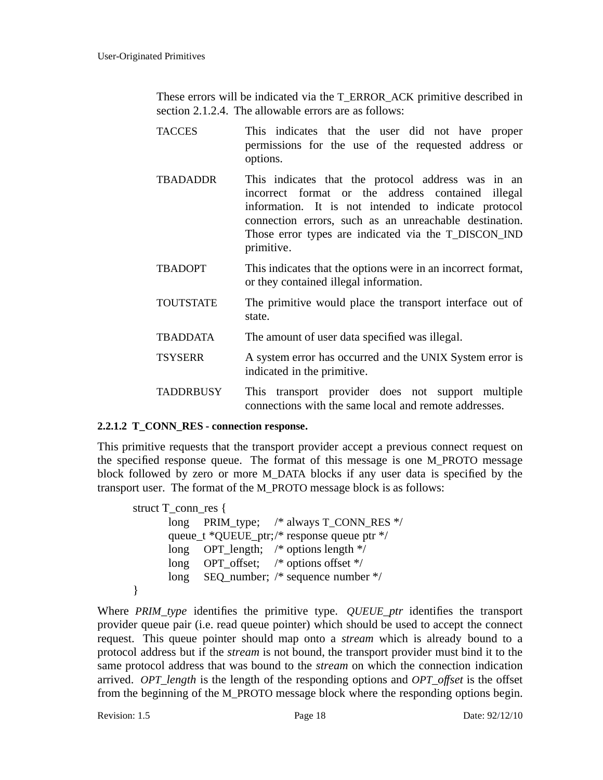These errors will be indicated via the T\_ERROR\_ACK primitive described in section 2.1.2.4. The allowable errors are as follows:

- TACCES This indicates that the user did not have proper permissions for the use of the requested address or options.
- TBADADDR This indicates that the protocol address was in an incorrect format or the address contained illegal information. It is not intended to indicate protocol connection errors, such as an unreachable destination. Those error types are indicated via the T\_DISCON\_IND primitive.
- TBADOPT This indicates that the options were in an incorrect format, or they contained illegal information.
- TOUTSTATE The primitive would place the transport interface out of state.
- TBADDATA The amount of user data specified was illegal.
- TSYSERR A system error has occurred and the UNIX System error is indicated in the primitive.
- TADDRBUSY This transport provider does not support multiple connections with the same local and remote addresses.

### **2.2.1.2 T\_CONN\_RES - connection response.**

This primitive requests that the transport provider accept a previous connect request on the specified response queue. The format of this message is one M\_PROTO message block followed by zero or more M\_DATA blocks if any user data is specified by the transport user. The format of the M\_PROTO message block is as follows:

```
struct T_conn_res {
      long PRIM type; /* always T_CONN_RES */
      queue_t *QUEUE_ptr;/* response queue ptr */
      long OPT length; /* options length */long OPT_offset; /* options offset */
      long SEQ_number; /* sequence number */
}
```
Where *PRIM\_type* identifies the primitive type. *QUEUE\_ptr* identifies the transport provider queue pair (i.e. read queue pointer) which should be used to accept the connect request. This queue pointer should map onto a *stream* which is already bound to a protocol address but if the *stream* is not bound, the transport provider must bind it to the same protocol address that was bound to the *stream* on which the connection indication arrived. *OPT\_length* is the length of the responding options and *OPT\_offset* is the offset from the beginning of the M\_PROTO message block where the responding options begin.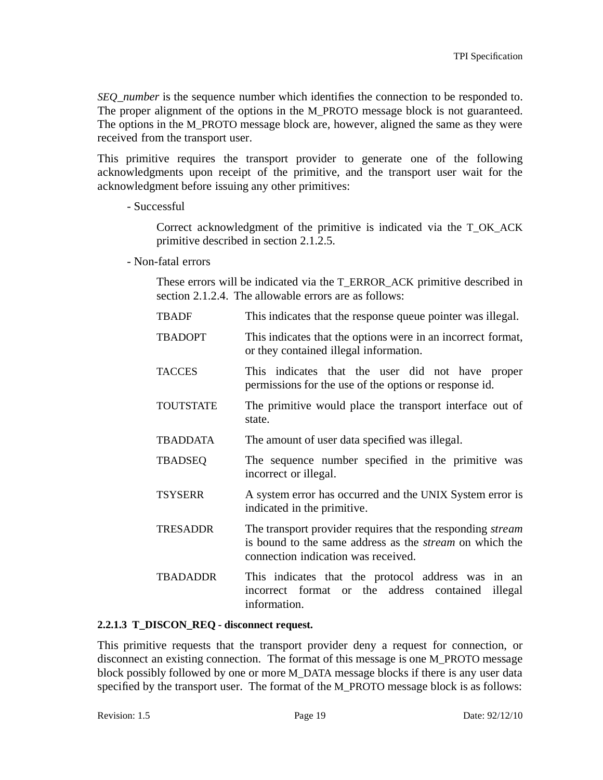*SEQ\_number* is the sequence number which identifies the connection to be responded to. The proper alignment of the options in the M\_PROTO message block is not guaranteed. The options in the M\_PROTO message block are, however, aligned the same as they were received from the transport user.

This primitive requires the transport provider to generate one of the following acknowledgments upon receipt of the primitive, and the transport user wait for the acknowledgment before issuing any other primitives:

- Successful

Correct acknowledgment of the primitive is indicated via the T\_OK\_ACK primitive described in section 2.1.2.5.

- Non-fatal errors

These errors will be indicated via the T\_ERROR\_ACK primitive described in section 2.1.2.4. The allowable errors are as follows:

| <b>TBADF</b>     | This indicates that the response queue pointer was illegal.                                                                                                                |
|------------------|----------------------------------------------------------------------------------------------------------------------------------------------------------------------------|
| <b>TBADOPT</b>   | This indicates that the options were in an incorrect format,<br>or they contained illegal information.                                                                     |
| <b>TACCES</b>    | This indicates that the user did not have proper<br>permissions for the use of the options or response id.                                                                 |
| <b>TOUTSTATE</b> | The primitive would place the transport interface out of<br>state.                                                                                                         |
| <b>TBADDATA</b>  | The amount of user data specified was illegal.                                                                                                                             |
| <b>TBADSEQ</b>   | The sequence number specified in the primitive was<br>incorrect or illegal.                                                                                                |
| <b>TSYSERR</b>   | A system error has occurred and the UNIX System error is<br>indicated in the primitive.                                                                                    |
| <b>TRESADDR</b>  | The transport provider requires that the responding <i>stream</i><br>is bound to the same address as the <i>stream</i> on which the<br>connection indication was received. |
| <b>TBADADDR</b>  | This indicates that the protocol address was in an<br>incorrect format or the address contained<br>illegal<br>information.                                                 |

### **2.2.1.3 T\_DISCON\_REQ - disconnect request.**

This primitive requests that the transport provider deny a request for connection, or disconnect an existing connection. The format of this message is one M\_PROTO message block possibly followed by one or more M\_DATA message blocks if there is any user data specified by the transport user. The format of the M\_PROTO message block is as follows: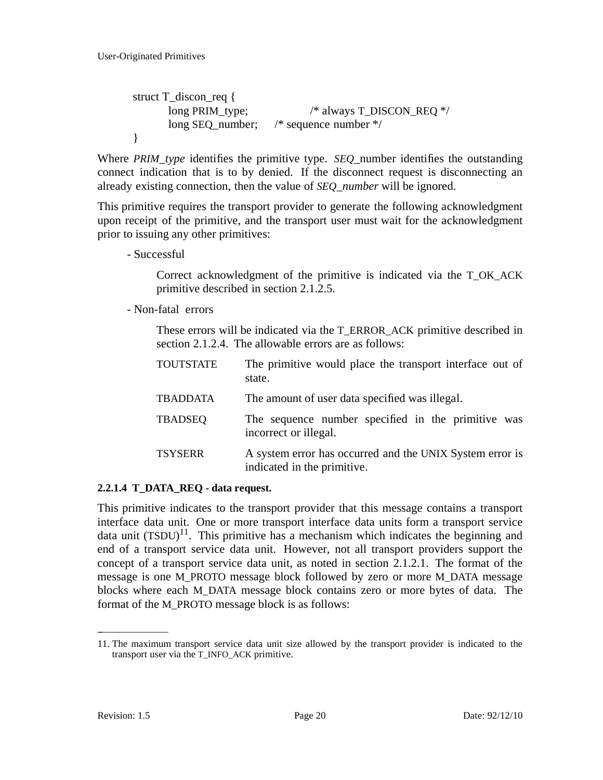```
struct T_discon_req {
     long PRIM_type; /* always T_DISCON_REQ */
      long SEQ_number; /* sequence number */
}
```
Where *PRIM\_type* identifies the primitive type. *SEQ*\_number identifies the outstanding connect indication that is to by denied. If the disconnect request is disconnecting an already existing connection, then the value of *SEQ\_number* will be ignored.

This primitive requires the transport provider to generate the following acknowledgment upon receipt of the primitive, and the transport user must wait for the acknowledgment prior to issuing any other primitives:

- Successful

Correct acknowledgment of the primitive is indicated via the T\_OK\_ACK primitive described in section 2.1.2.5.

- Non-fatal errors

These errors will be indicated via the T\_ERROR\_ACK primitive described in section 2.1.2.4. The allowable errors are as follows:

| <b>TOUTSTATE</b> | The primitive would place the transport interface out of<br>state.                      |
|------------------|-----------------------------------------------------------------------------------------|
| <b>TBADDATA</b>  | The amount of user data specified was illegal.                                          |
| <b>TBADSEQ</b>   | The sequence number specified in the primitive was<br>incorrect or illegal.             |
| <b>TSYSERR</b>   | A system error has occurred and the UNIX System error is<br>indicated in the primitive. |

### **2.2.1.4 T\_DATA\_REQ - data request.**

This primitive indicates to the transport provider that this message contains a transport interface data unit. One or more transport interface data units form a transport service data unit  $(TSDU)^{11}$ . This primitive has a mechanism which indicates the beginning and end of a transport service data unit. However, not all transport providers support the concept of a transport service data unit, as noted in section 2.1.2.1. The format of the message is one M\_PROTO message block followed by zero or more M\_DATA message blocks where each M\_DATA message block contains zero or more bytes of data. The format of the M\_PROTO message block is as follows:

 $\overline{\phantom{a}}$  , where  $\overline{\phantom{a}}$ 

<sup>11.</sup> The maximum transport service data unit size allowed by the transport provider is indicated to the transport user via the T\_INFO\_ACK primitive.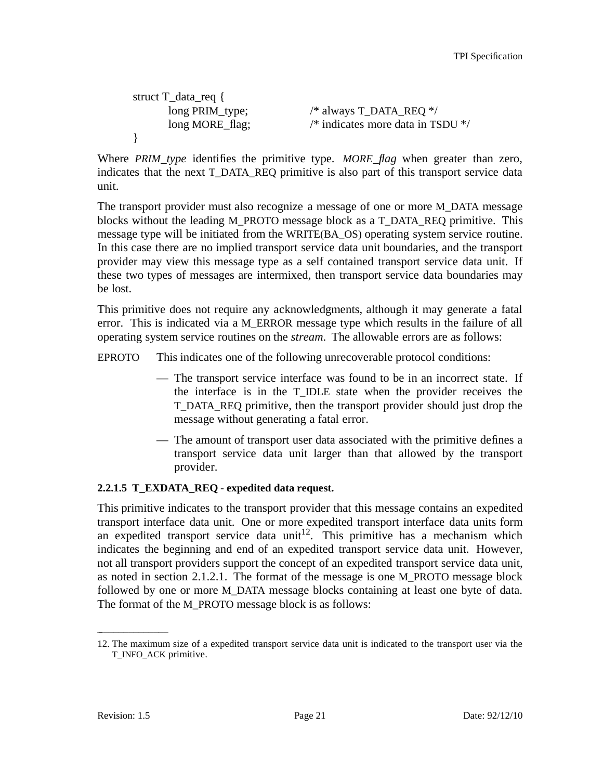```
struct T_data_req {
     long PRIM_type; /* always T_DATA_REQ */
     long MORE_flag; /* indicates more data in TSDU */
}
```
Where *PRIM\_type* identifies the primitive type. *MORE\_flag* when greater than zero, indicates that the next T\_DATA\_REQ primitive is also part of this transport service data unit.

The transport provider must also recognize a message of one or more M\_DATA message blocks without the leading M\_PROTO message block as a T\_DATA\_REQ primitive. This message type will be initiated from the WRITE(BA\_OS) operating system service routine. In this case there are no implied transport service data unit boundaries, and the transport provider may view this message type as a self contained transport service data unit. If these two types of messages are intermixed, then transport service data boundaries may be lost.

This primitive does not require any acknowledgments, although it may generate a fatal error. This is indicated via a M\_ERROR message type which results in the failure of all operating system service routines on the *stream*. The allowable errors are as follows:

EPROTO This indicates one of the following unrecoverable protocol conditions:

- The transport service interface was found to be in an incorrect state. If the interface is in the T\_IDLE state when the provider receives the T\_DATA\_REQ primitive, then the transport provider should just drop the message without generating a fatal error.
- The amount of transport user data associated with the primitive defines a transport service data unit larger than that allowed by the transport provider.

### **2.2.1.5 T\_EXDATA\_REQ - expedited data request.**

This primitive indicates to the transport provider that this message contains an expedited transport interface data unit. One or more expedited transport interface data units form an expedited transport service data unit<sup>12</sup>. This primitive has a mechanism which indicates the beginning and end of an expedited transport service data unit. However, not all transport providers support the concept of an expedited transport service data unit, as noted in section 2.1.2.1. The format of the message is one M\_PROTO message block followed by one or more M\_DATA message blocks containing at least one byte of data. The format of the M\_PROTO message block is as follows:

 $\overline{\phantom{a}}$  , where  $\overline{\phantom{a}}$ 

<sup>12.</sup> The maximum size of a expedited transport service data unit is indicated to the transport user via the T\_INFO\_ACK primitive.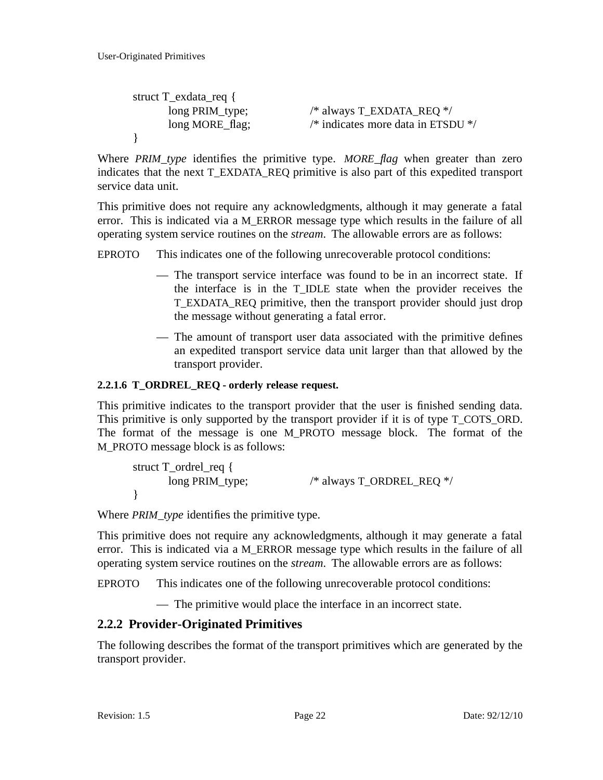```
struct T_exdata_req {
      \overline{\text{long PRIM}_{\text{type}}}; /* always T_EXDATA_REQ */
       long MORE_flag; /* indicates more data in ETSDU */
}
```
Where *PRIM\_type* identifies the primitive type. *MORE\_flag* when greater than zero indicates that the next T\_EXDATA\_REQ primitive is also part of this expedited transport service data unit.

This primitive does not require any acknowledgments, although it may generate a fatal error. This is indicated via a M\_ERROR message type which results in the failure of all operating system service routines on the *stream*. The allowable errors are as follows:

EPROTO This indicates one of the following unrecoverable protocol conditions:

- The transport service interface was found to be in an incorrect state. If the interface is in the T\_IDLE state when the provider receives the T\_EXDATA\_REQ primitive, then the transport provider should just drop the message without generating a fatal error.
- The amount of transport user data associated with the primitive defines an expedited transport service data unit larger than that allowed by the transport provider.

## **2.2.1.6 T\_ORDREL\_REQ - orderly release request.**

This primitive indicates to the transport provider that the user is finished sending data. This primitive is only supported by the transport provider if it is of type T\_COTS\_ORD. The format of the message is one M\_PROTO message block. The format of the M\_PROTO message block is as follows:

```
struct T_ordrel_req {
     long PRIM_type; /* always T_ORDREL_REQ */
}
```
Where *PRIM\_type* identifies the primitive type.

This primitive does not require any acknowledgments, although it may generate a fatal error. This is indicated via a M\_ERROR message type which results in the failure of all operating system service routines on the *stream*. The allowable errors are as follows:

EPROTO This indicates one of the following unrecoverable protocol conditions:

— The primitive would place the interface in an incorrect state.

## **2.2.2 Provider-Originated Primitives**

The following describes the format of the transport primitives which are generated by the transport provider.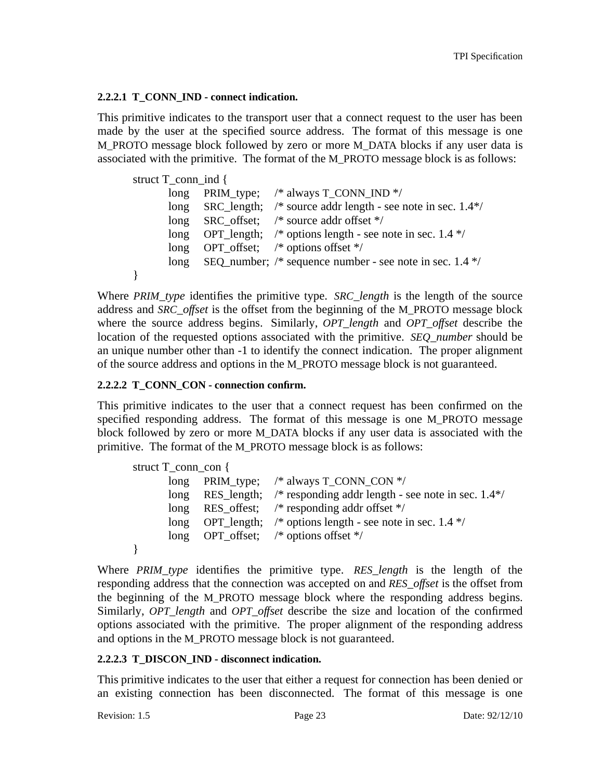#### **2.2.2.1 T\_CONN\_IND - connect indication.**

This primitive indicates to the transport user that a connect request to the user has been made by the user at the specified source address. The format of this message is one M\_PROTO message block followed by zero or more M\_DATA blocks if any user data is associated with the primitive. The format of the M\_PROTO message block is as follows:

```
struct T_conn_ind {
      long PRIM_type; /* always T_CONN_IND */
      long SRC length; /* source addr length - see note in sec. 1.4*/
      long SRC offset; /* source addr offset */
      long OPT length; /* options length - see note in sec. 1.4 */
      long OPT_offset; /* options offset */
      long SEQ number; /* sequence number - see note in sec. 1.4 */
}
```
Where *PRIM\_type* identifies the primitive type. *SRC\_length* is the length of the source address and *SRC\_offset* is the offset from the beginning of the M\_PROTO message block where the source address begins. Similarly, *OPT\_length* and *OPT\_offset* describe the location of the requested options associated with the primitive. *SEQ\_number* should be an unique number other than -1 to identify the connect indication. The proper alignment of the source address and options in the M\_PROTO message block is not guaranteed.

#### **2.2.2.2 T\_CONN\_CON - connection confirm.**

This primitive indicates to the user that a connect request has been confirmed on the specified responding address. The format of this message is one M\_PROTO message block followed by zero or more M\_DATA blocks if any user data is associated with the primitive. The format of the M\_PROTO message block is as follows:

```
struct T_conn_con {
      long PRIM_type; /* always T_CONN_CON */
      long RES_length; /* responding addr length - see note in sec. 1.4*/
      long RES_offest; /* responding addr offset */
      long OPT length; /* options length - see note in sec. 1.4 */
      long OPT_offset; /* options offset */
}
```
Where *PRIM\_type* identifies the primitive type. *RES\_length* is the length of the responding address that the connection was accepted on and *RES\_of set* is the offset from the beginning of the M\_PROTO message block where the responding address begins. Similarly, *OPT\_length* and *OPT\_offset* describe the size and location of the confirmed options associated with the primitive. The proper alignment of the responding address and options in the M\_PROTO message block is not guaranteed.

#### **2.2.2.3 T\_DISCON\_IND - disconnect indication.**

This primitive indicates to the user that either a request for connection has been denied or an existing connection has been disconnected. The format of this message is one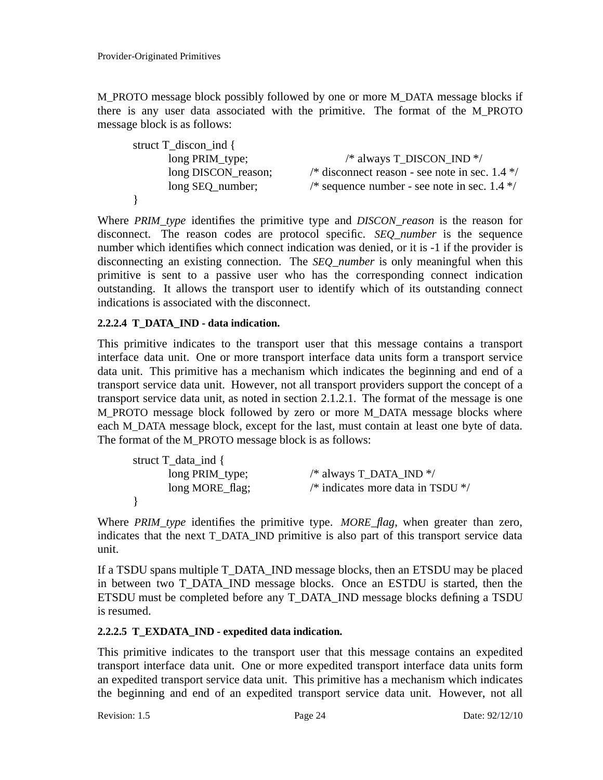M\_PROTO message block possibly followed by one or more M\_DATA message blocks if there is any user data associated with the primitive. The format of the M\_PROTO message block is as follows:

| struct $T_d$ discon ind { |                                                  |
|---------------------------|--------------------------------------------------|
| long PRIM_type;           | /* always T_DISCON_IND */                        |
| long DISCON_reason;       | /* disconnect reason - see note in sec. $1.4$ */ |
| long SEQ_number;          | /* sequence number - see note in sec. $1.4$ */   |
|                           |                                                  |

Where *PRIM\_type* identifies the primitive type and *DISCON\_reason* is the reason for disconnect. The reason codes are protocol specific. *SEQ\_number* is the sequence number which identifies which connect indication was denied, or it is -1 if the provider is disconnecting an existing connection. The *SEQ\_number* is only meaningful when this primitive is sent to a passive user who has the corresponding connect indication outstanding. It allows the transport user to identify which of its outstanding connect indications is associated with the disconnect.

### **2.2.2.4 T\_DATA\_IND - data indication.**

This primitive indicates to the transport user that this message contains a transport interface data unit. One or more transport interface data units form a transport service data unit. This primitive has a mechanism which indicates the beginning and end of a transport service data unit. However, not all transport providers support the concept of a transport service data unit, as noted in section 2.1.2.1. The format of the message is one M\_PROTO message block followed by zero or more M\_DATA message blocks where each M\_DATA message block, except for the last, must contain at least one byte of data. The format of the M\_PROTO message block is as follows:

| struct $T_{data\_ind}$ { |                                              |
|--------------------------|----------------------------------------------|
| long PRIM_type;          | /* always $T$ _DATA_IND $*/$                 |
| long MORE_flag;          | /* indicates more data in TSDU $\frac{*}{ }$ |
|                          |                                              |

Where *PRIM\_type* identifies the primitive type. *MORE\_flag*, when greater than zero, indicates that the next T\_DATA\_IND primitive is also part of this transport service data unit.

If a TSDU spans multiple T\_DATA\_IND message blocks, then an ETSDU may be placed in between two T\_DATA\_IND message blocks. Once an ESTDU is started, then the ETSDU must be completed before any T\_DATA\_IND message blocks defining a TSDU is resumed.

### **2.2.2.5 T\_EXDATA\_IND - expedited data indication.**

This primitive indicates to the transport user that this message contains an expedited transport interface data unit. One or more expedited transport interface data units form an expedited transport service data unit. This primitive has a mechanism which indicates the beginning and end of an expedited transport service data unit. However, not all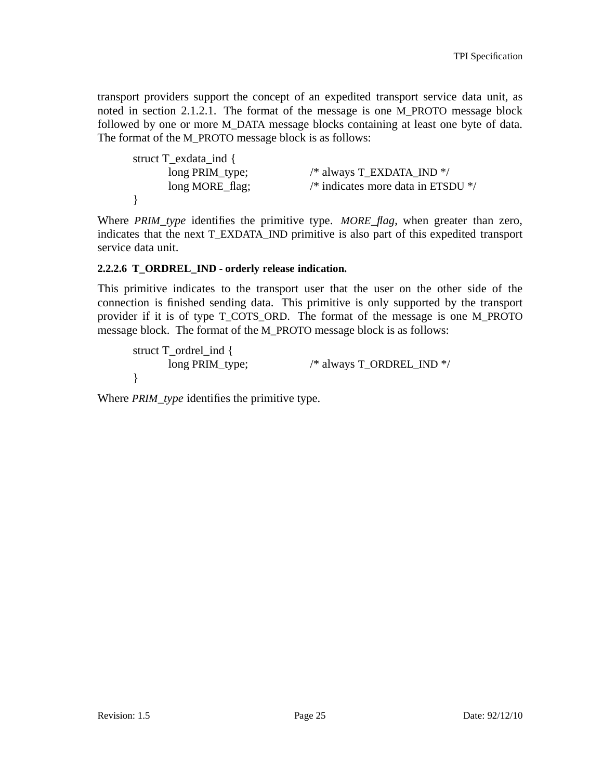transport providers support the concept of an expedited transport service data unit, as noted in section 2.1.2.1. The format of the message is one M\_PROTO message block followed by one or more M\_DATA message blocks containing at least one byte of data. The format of the M\_PROTO message block is as follows:

| struct T_exdata_ind { |                                                          |
|-----------------------|----------------------------------------------------------|
| long PRIM_type;       | /* always T_EXDATA_IND */                                |
| long MORE_flag;       | $\frac{1}{2}$ indicates more data in ETSDU $\frac{1}{2}$ |
|                       |                                                          |

Where *PRIM\_type* identifies the primitive type. *MORE\_flag*, when greater than zero, indicates that the next T\_EXDATA\_IND primitive is also part of this expedited transport service data unit.

#### **2.2.2.6 T\_ORDREL\_IND - orderly release indication.**

This primitive indicates to the transport user that the user on the other side of the connection is finished sending data. This primitive is only supported by the transport provider if it is of type T\_COTS\_ORD. The format of the message is one M\_PROTO message block. The format of the M\_PROTO message block is as follows:

struct T\_ordrel\_ind { long PRIM\_type; /\* always T\_ORDREL\_IND \*/ }

Where *PRIM\_type* identifies the primitive type.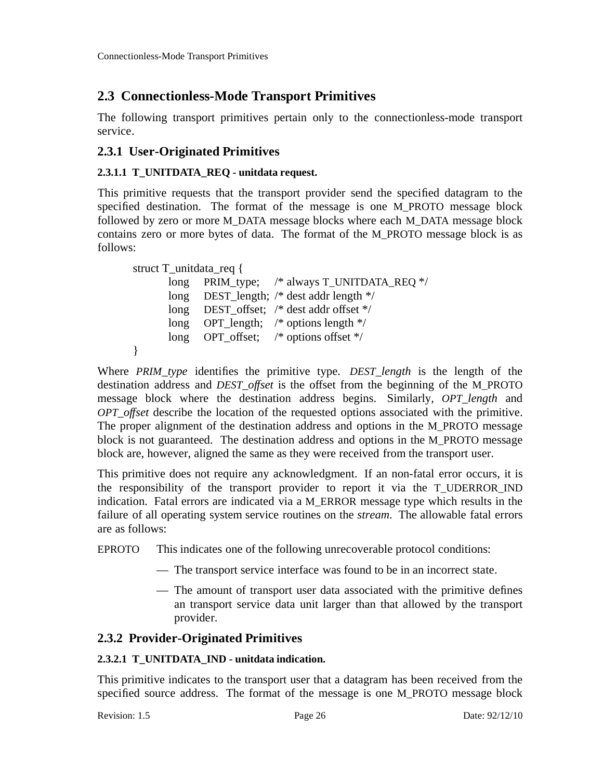# **2.3 Connectionless-Mode Transport Primitives**

The following transport primitives pertain only to the connectionless-mode transport service.

## **2.3.1 User-Originated Primitives**

### **2.3.1.1 T\_UNITDATA\_REQ - unitdata request.**

This primitive requests that the transport provider send the specified datagram to the specified destination. The format of the message is one M\_PROTO message block followed by zero or more M\_DATA message blocks where each M\_DATA message block contains zero or more bytes of data. The format of the M\_PROTO message block is as follows:

```
struct T_unitdata_req {
      long PRIM_type; /* always T_UNITDATA_REQ */
      long DEST_length; /* dest addr length */
      long DEST_offset; /* dest addr offset */
      long OPT_length; /* options length */
      long OPT_offset; /* options offset */
}
```
Where *PRIM\_type* identifies the primitive type. *DEST\_length* is the length of the destination address and *DEST\_offset* is the offset from the beginning of the M\_PROTO message block where the destination address begins. Similarly, *OPT\_length* and *OPT offset* describe the location of the requested options associated with the primitive. The proper alignment of the destination address and options in the M\_PROTO message block is not guaranteed. The destination address and options in the M\_PROTO message block are, however, aligned the same as they were received from the transport user.

This primitive does not require any acknowledgment. If an non-fatal error occurs, it is the responsibility of the transport provider to report it via the T\_UDERROR\_IND indication. Fatal errors are indicated via a M\_ERROR message type which results in the failure of all operating system service routines on the *stream*. The allowable fatal errors are as follows:

EPROTO This indicates one of the following unrecoverable protocol conditions:

- The transport service interface was found to be in an incorrect state.
- The amount of transport user data associated with the primitive defines an transport service data unit larger than that allowed by the transport provider.

## **2.3.2 Provider-Originated Primitives**

### **2.3.2.1 T\_UNITDATA\_IND - unitdata indication.**

This primitive indicates to the transport user that a datagram has been received from the specified source address. The format of the message is one M\_PROTO message block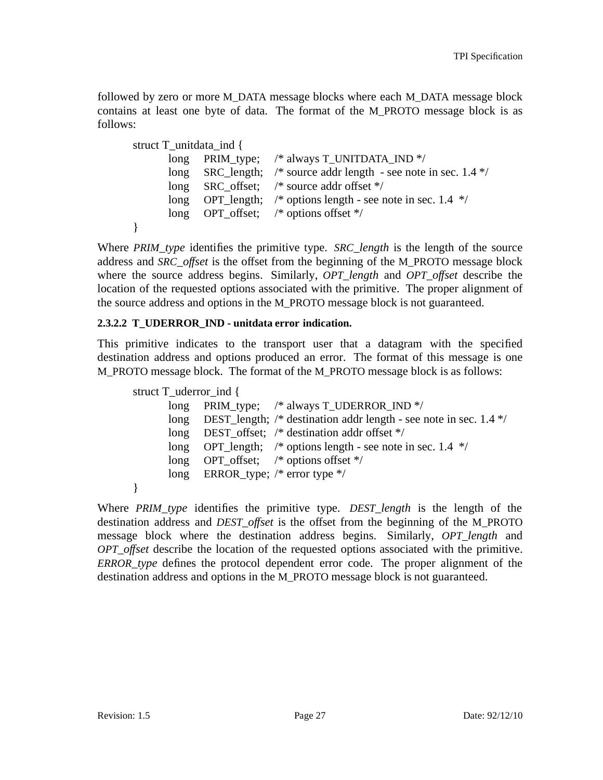followed by zero or more M\_DATA message blocks where each M\_DATA message block contains at least one byte of data. The format of the M\_PROTO message block is as follows:

```
struct T_unitdata_ind {
      long PRIM_type; /* always T_UNITDATA_IND */
      long SRC_length; /* source addr length - see note in sec. 1.4 */
      long SRC_offset; /* source addr offset */
      long OPT_length; /* options length - see note in sec. 1.4 */
      long OPT offset; /* options offset */
}
```
Where *PRIM\_type* identifies the primitive type. *SRC\_length* is the length of the source address and *SRC\_offset* is the offset from the beginning of the M\_PROTO message block where the source address begins. Similarly, *OPT\_length* and *OPT\_offset* describe the location of the requested options associated with the primitive. The proper alignment of the source address and options in the M\_PROTO message block is not guaranteed.

### **2.3.2.2 T\_UDERROR\_IND - unitdata error indication.**

This primitive indicates to the transport user that a datagram with the specified destination address and options produced an error. The format of this message is one M\_PROTO message block. The format of the M\_PROTO message block is as follows:

```
struct T_uderror_ind {
      long PRIM_type; /* always T_UDERROR_IND */
      long DEST_length; /* destination addr length - see note in sec. 1.4 */
      long DEST_offset; /* destination addr offset */
      long OPT_length; /* options length - see note in sec. 1.4 */
      long OPT_offset; /* options offset */
      long ERROR_type; /* error type */
}
```
Where *PRIM\_type* identifies the primitive type. *DEST\_length* is the length of the destination address and *DEST offset* is the offset from the beginning of the M\_PROTO message block where the destination address begins. Similarly, *OPT\_length* and *OPT\_of set* describe the location of the requested options associated with the primitive. *ERROR\_type* defines the protocol dependent error code. The proper alignment of the destination address and options in the M\_PROTO message block is not guaranteed.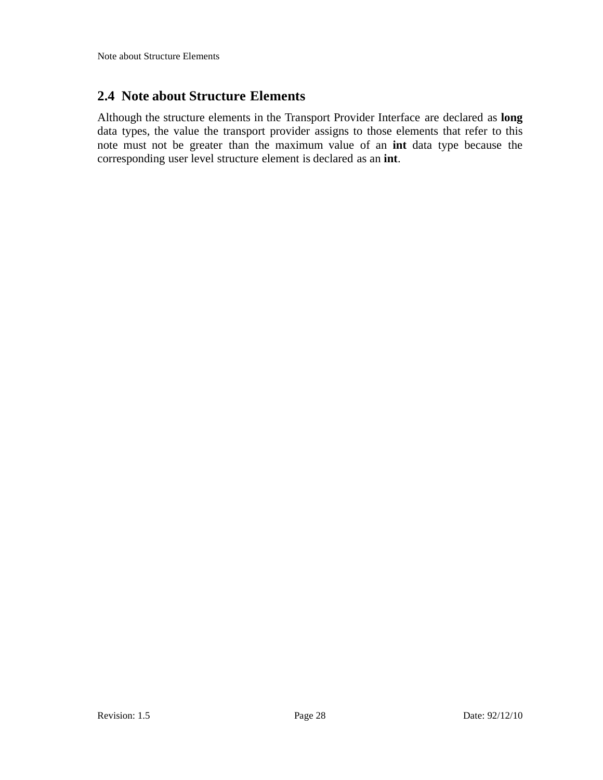## **2.4 Note about Structure Elements**

Although the structure elements in the Transport Provider Interface are declared as **long** data types, the value the transport provider assigns to those elements that refer to this note must not be greater than the maximum value of an **int** data type because the corresponding user level structure element is declared as an **int**.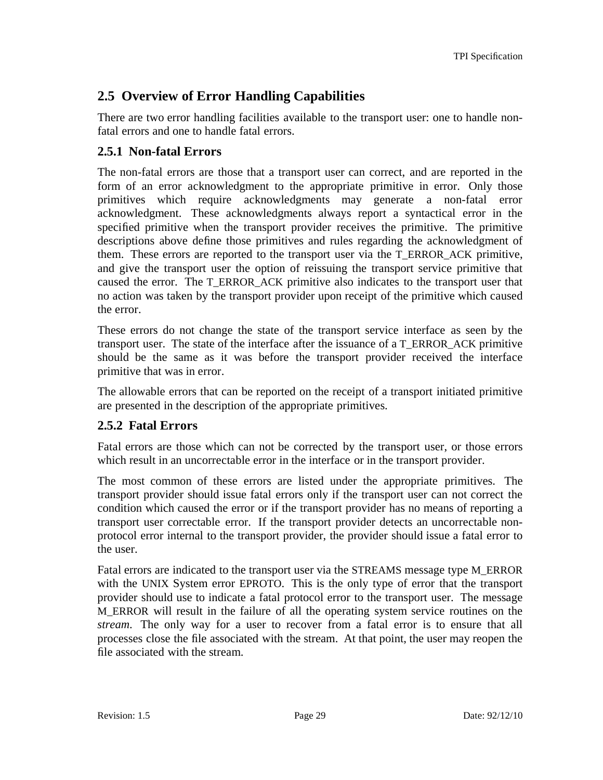# **2.5 Overview of Error Handling Capabilities**

There are two error handling facilities available to the transport user: one to handle nonfatal errors and one to handle fatal errors.

## **2.5.1 Non-fatal Errors**

The non-fatal errors are those that a transport user can correct, and are reported in the form of an error acknowledgment to the appropriate primitive in error. Only those primitives which require acknowledgments may generate a non-fatal error acknowledgment. These acknowledgments always report a syntactical error in the specified primitive when the transport provider receives the primitive. The primitive descriptions above define those primitives and rules regarding the acknowledgment of them. These errors are reported to the transport user via the T\_ERROR\_ACK primitive, and give the transport user the option of reissuing the transport service primitive that caused the error. The T\_ERROR\_ACK primitive also indicates to the transport user that no action was taken by the transport provider upon receipt of the primitive which caused the error.

These errors do not change the state of the transport service interface as seen by the transport user. The state of the interface after the issuance of a T\_ERROR\_ACK primitive should be the same as it was before the transport provider received the interface primitive that was in error.

The allowable errors that can be reported on the receipt of a transport initiated primitive are presented in the description of the appropriate primitives.

### **2.5.2 Fatal Errors**

Fatal errors are those which can not be corrected by the transport user, or those errors which result in an uncorrectable error in the interface or in the transport provider.

The most common of these errors are listed under the appropriate primitives. The transport provider should issue fatal errors only if the transport user can not correct the condition which caused the error or if the transport provider has no means of reporting a transport user correctable error. If the transport provider detects an uncorrectable nonprotocol error internal to the transport provider, the provider should issue a fatal error to the user.

Fatal errors are indicated to the transport user via the STREAMS message type M\_ERROR with the UNIX System error EPROTO. This is the only type of error that the transport provider should use to indicate a fatal protocol error to the transport user. The message M\_ERROR will result in the failure of all the operating system service routines on the *stream*. The only way for a user to recover from a fatal error is to ensure that all processes close the file associated with the stream. At that point, the user may reopen the file associated with the stream.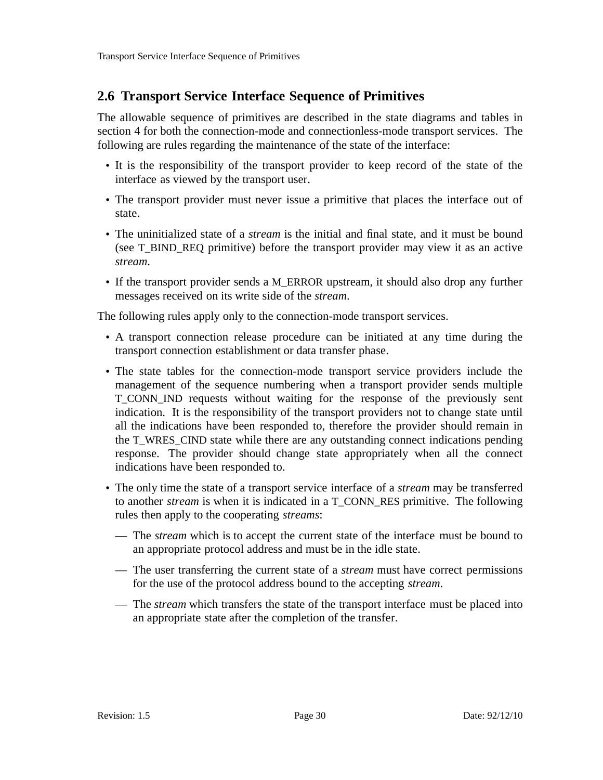# **2.6 Transport Service Interface Sequence of Primitives**

The allowable sequence of primitives are described in the state diagrams and tables in section 4 for both the connection-mode and connectionless-mode transport services. The following are rules regarding the maintenance of the state of the interface:

- It is the responsibility of the transport provider to keep record of the state of the interface as viewed by the transport user.
- The transport provider must never issue a primitive that places the interface out of state.
- The uninitialized state of a *stream* is the initial and final state, and it must be bound (see T\_BIND\_REQ primitive) before the transport provider may view it as an active *stream*.
- If the transport provider sends a M\_ERROR upstream, it should also drop any further messages received on its write side of the *stream*.

The following rules apply only to the connection-mode transport services.

- A transport connection release procedure can be initiated at any time during the transport connection establishment or data transfer phase.
- The state tables for the connection-mode transport service providers include the management of the sequence numbering when a transport provider sends multiple T\_CONN\_IND requests without waiting for the response of the previously sent indication. It is the responsibility of the transport providers not to change state until all the indications have been responded to, therefore the provider should remain in the T\_WRES\_CIND state while there are any outstanding connect indications pending response. The provider should change state appropriately when all the connect indications have been responded to.
- The only time the state of a transport service interface of a *stream* may be transferred to another *stream* is when it is indicated in a T\_CONN\_RES primitive. The following rules then apply to the cooperating *streams*:
	- The *stream* which is to accept the current state of the interface must be bound to an appropriate protocol address and must be in the idle state.
	- The user transferring the current state of a *stream* must have correct permissions for the use of the protocol address bound to the accepting *stream*.
	- The *stream* which transfers the state of the transport interface must be placed into an appropriate state after the completion of the transfer.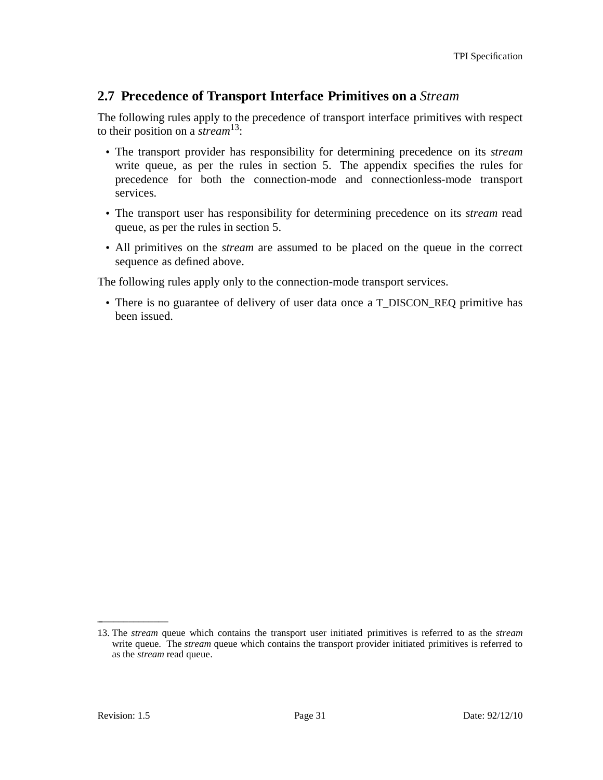## **2.7 Precedence of Transport Interface Primitives on a** *Stream*

The following rules apply to the precedence of transport interface primitives with respect to their position on a *stream*13:

- The transport provider has responsibility for determining precedence on its *stream* write queue, as per the rules in section 5. The appendix specifies the rules for precedence for both the connection-mode and connectionless-mode transport services.
- The transport user has responsibility for determining precedence on its *stream* read queue, as per the rules in section 5.
- All primitives on the *stream* are assumed to be placed on the queue in the correct sequence as defined above.

The following rules apply only to the connection-mode transport services.

• There is no guarantee of delivery of user data once a T\_DISCON\_REQ primitive has been issued.

\_ \_\_\_\_\_\_\_\_\_\_\_\_\_

<sup>13.</sup> The *stream* queue which contains the transport user initiated primitives is referred to as the *stream* write queue. The *stream* queue which contains the transport provider initiated primitives is referred to as the *stream* read queue.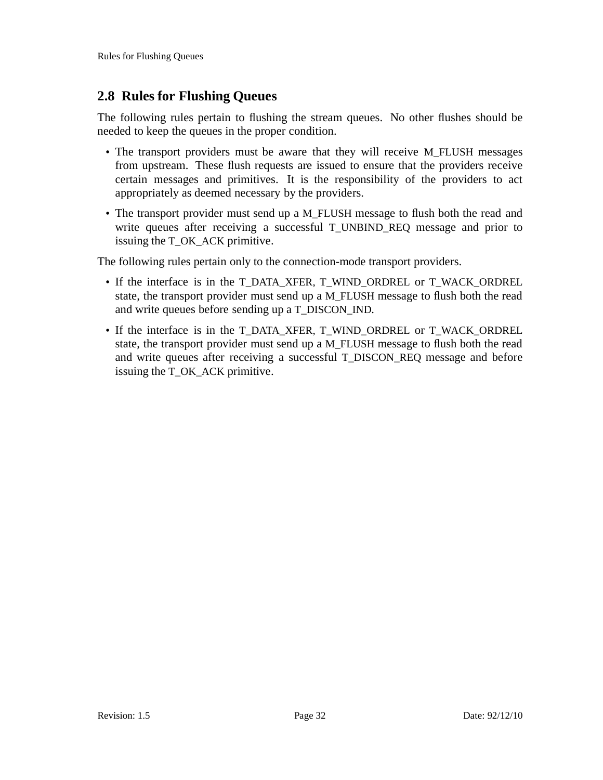## **2.8 Rules for Flushing Queues**

The following rules pertain to flushing the stream queues. No other flushes should be needed to keep the queues in the proper condition.

- The transport providers must be aware that they will receive M\_FLUSH messages from upstream. These flush requests are issued to ensure that the providers receive certain messages and primitives. It is the responsibility of the providers to act appropriately as deemed necessary by the providers.
- The transport provider must send up a M\_FLUSH message to flush both the read and write queues after receiving a successful T\_UNBIND\_REQ message and prior to issuing the T\_OK\_ACK primitive.

The following rules pertain only to the connection-mode transport providers.

- If the interface is in the T\_DATA\_XFER, T\_WIND\_ORDREL or T\_WACK\_ORDREL state, the transport provider must send up a M\_FLUSH message to flush both the read and write queues before sending up a T\_DISCON\_IND.
- If the interface is in the T\_DATA\_XFER, T\_WIND\_ORDREL or T\_WACK\_ORDREL state, the transport provider must send up a M\_FLUSH message to flush both the read and write queues after receiving a successful T\_DISCON\_REQ message and before issuing the T\_OK\_ACK primitive.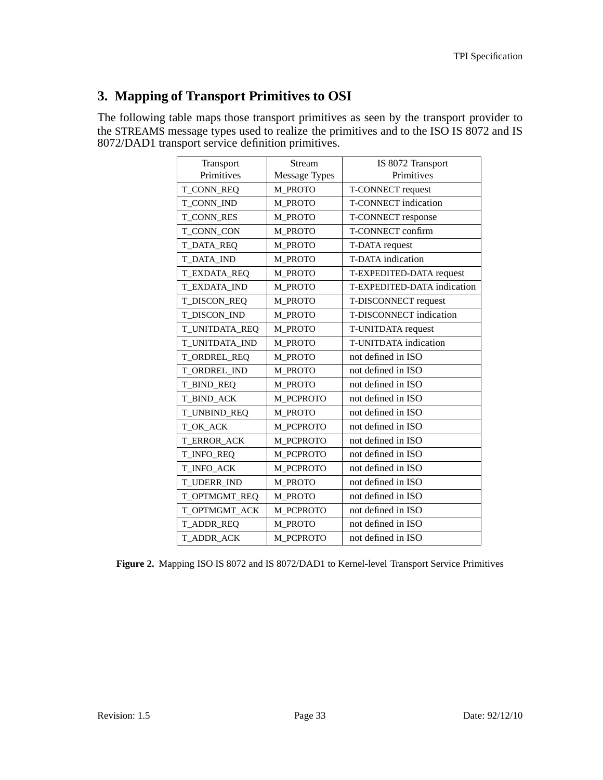# **3. Mapping of Transport Primitives to OSI**

The following table maps those transport primitives as seen by the transport provider to the STREAMS message types used to realize the primitives and to the ISO IS 8072 and IS 8072/DAD1 transport service definition primitives.

| Transport           | Stream               | IS 8072 Transport           |
|---------------------|----------------------|-----------------------------|
| Primitives          | <b>Message Types</b> | Primitives                  |
| T_CONN_REQ          | M_PROTO              | T-CONNECT request           |
| T CONN IND          | M_PROTO              | T-CONNECT indication        |
| <b>T_CONN_RES</b>   | M_PROTO              | T-CONNECT response          |
| T_CONN_CON          | M_PROTO              | T-CONNECT confirm           |
| <b>T_DATA_REQ</b>   | M_PROTO              | T-DATA request              |
| <b>T_DATA_IND</b>   | M_PROTO              | T-DATA indication           |
| T_EXDATA_REQ        | M_PROTO              | T-EXPEDITED-DATA request    |
| <b>T_EXDATA_IND</b> | M PROTO              | T-EXPEDITED-DATA indication |
| T_DISCON_REQ        | <b>M_PROTO</b>       | T-DISCONNECT request        |
| T_DISCON_IND        | M_PROTO              | T-DISCONNECT indication     |
| T_UNITDATA_REQ      | M PROTO              | T-UNITDATA request          |
| T_UNITDATA_IND      | M PROTO              | T-UNITDATA indication       |
| T_ORDREL_REQ        | M_PROTO              | not defined in ISO          |
| T_ORDREL_IND        | M_PROTO              | not defined in ISO          |
| T_BIND_REQ          | M_PROTO              | not defined in ISO          |
| T_BIND_ACK          | M_PCPROTO            | not defined in ISO          |
| T_UNBIND_REQ        | M_PROTO              | not defined in ISO          |
| T_OK_ACK            | M_PCPROTO            | not defined in ISO          |
| T_ERROR_ACK         | M_PCPROTO            | not defined in ISO          |
| T_INFO_REQ          | M_PCPROTO            | not defined in ISO          |
| T_INFO_ACK          | M_PCPROTO            | not defined in ISO          |
| T_UDERR_IND         | M_PROTO              | not defined in ISO          |
| T_OPTMGMT_REQ       | M_PROTO              | not defined in ISO          |
| T_OPTMGMT_ACK       | M_PCPROTO            | not defined in ISO          |
| T_ADDR_REQ          | M_PROTO              | not defined in ISO          |
| T_ADDR_ACK          | M_PCPROTO            | not defined in ISO          |

**Figure 2.** Mapping ISO IS 8072 and IS 8072/DAD1 to Kernel-level Transport Service Primitives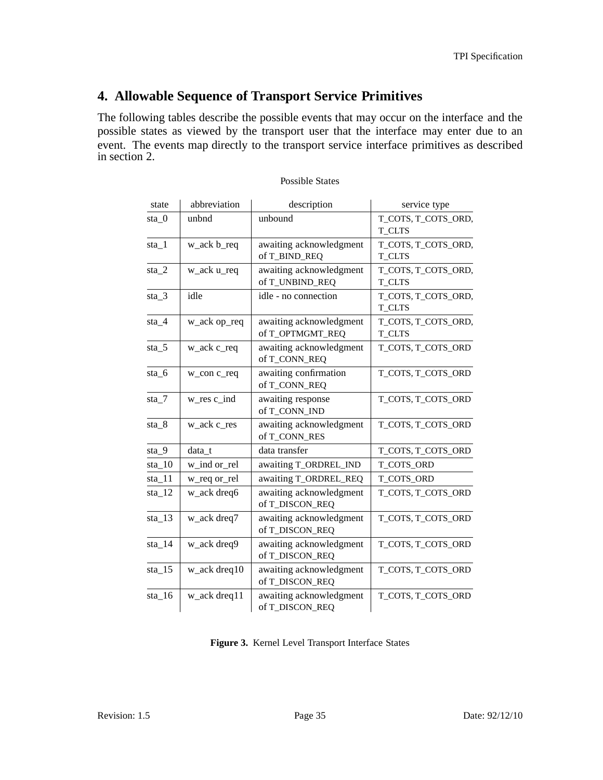## **4. Allowable Sequence of Transport Service Primitives**

The following tables describe the possible events that may occur on the interface and the possible states as viewed by the transport user that the interface may enter due to an event. The events map directly to the transport service interface primitives as described in section 2.

| state    | abbreviation      | description                                 | service type                         |
|----------|-------------------|---------------------------------------------|--------------------------------------|
| $sta_0$  | unbnd             | unbound                                     | T_COTS, T_COTS_ORD,<br><b>T_CLTS</b> |
| $sta_1$  | w_ack b_req       | awaiting acknowledgment<br>of T_BIND_REQ    | T_COTS, T_COTS_ORD,<br><b>T_CLTS</b> |
| $sta_2$  | w_ack u_req       | awaiting acknowledgment<br>of T_UNBIND_REQ  | T_COTS, T_COTS_ORD,<br><b>T_CLTS</b> |
| $sta_3$  | idle              | idle - no connection                        | T_COTS, T_COTS_ORD,<br><b>T_CLTS</b> |
| $sta_4$  | w_ack op_req      | awaiting acknowledgment<br>of T_OPTMGMT_REQ | T_COTS, T_COTS_ORD,<br><b>T_CLTS</b> |
| $sta_5$  | w_ack c_req       | awaiting acknowledgment<br>of T_CONN_REQ    | T_COTS, T_COTS_ORD                   |
| $sta_6$  | w_con c_req       | awaiting confirmation<br>of T_CONN_REQ      | T_COTS, T_COTS_ORD                   |
| $sta_7$  | $w_{res} c_{ind}$ | awaiting response<br>of T_CONN_IND          | T_COTS, T_COTS_ORD                   |
| $sta_8$  | w_ack c_res       | awaiting acknowledgment<br>of T_CONN_RES    | T_COTS, T_COTS_ORD                   |
| $sta_9$  | data t            | data transfer                               | T_COTS, T_COTS_ORD                   |
| $sta_10$ | w_ind or_rel      | awaiting T_ORDREL_IND                       | T_COTS_ORD                           |
| $sta_11$ | w_req or_rel      | awaiting T_ORDREL_REQ                       | T_COTS_ORD                           |
| $sta_12$ | w_ack dreq6       | awaiting acknowledgment<br>of T_DISCON_REQ  | T_COTS, T_COTS_ORD                   |
| $sta_13$ | w_ack dreq7       | awaiting acknowledgment<br>of T_DISCON_REQ  | T_COTS, T_COTS_ORD                   |
| sta 14   | w_ack dreq9       | awaiting acknowledgment<br>of T_DISCON_REQ  | T_COTS, T_COTS_ORD                   |
| $sta_15$ | w_ack dreq10      | awaiting acknowledgment<br>of T_DISCON_REQ  | T_COTS, T_COTS_ORD                   |
| $sta_16$ | w_ack dreq11      | awaiting acknowledgment<br>of T_DISCON_REQ  | T_COTS, T_COTS_ORD                   |

#### Possible States

**Figure 3.** Kernel Level Transport Interface States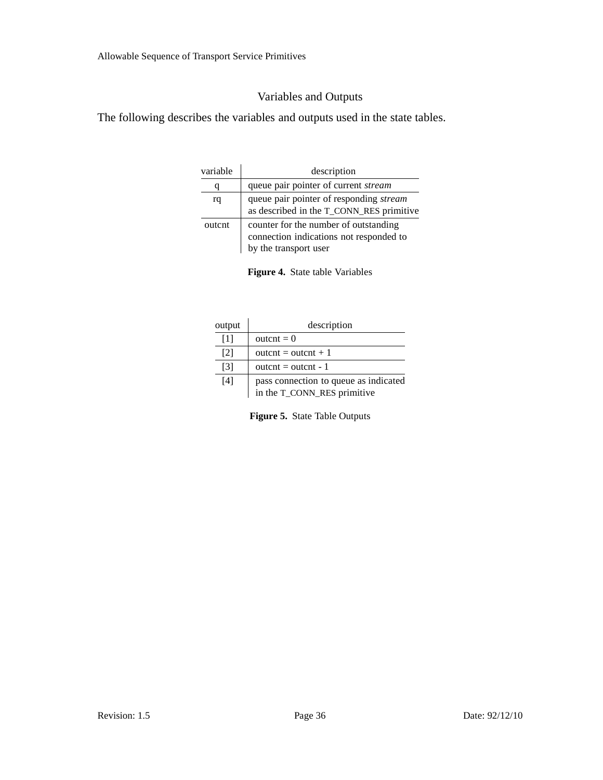## Variables and Outputs

The following describes the variables and outputs used in the state tables.

| variable | description                                                                                               |
|----------|-----------------------------------------------------------------------------------------------------------|
| q        | queue pair pointer of current <i>stream</i>                                                               |
| rq       | queue pair pointer of responding stream<br>as described in the T_CONN_RES primitive                       |
| outcnt   | counter for the number of outstanding<br>connection indications not responded to<br>by the transport user |

**Figure 4.** State table Variables

| output            | description                           |
|-------------------|---------------------------------------|
| $\lceil 1 \rceil$ | $\text{outcnt} = 0$                   |
| 2                 | outcnt = outcnt + 1                   |
| $\lceil 3 \rceil$ | outcnt = outcnt - $1$                 |
| [4]               | pass connection to queue as indicated |
|                   | in the T_CONN_RES primitive           |

**Figure 5.** State Table Outputs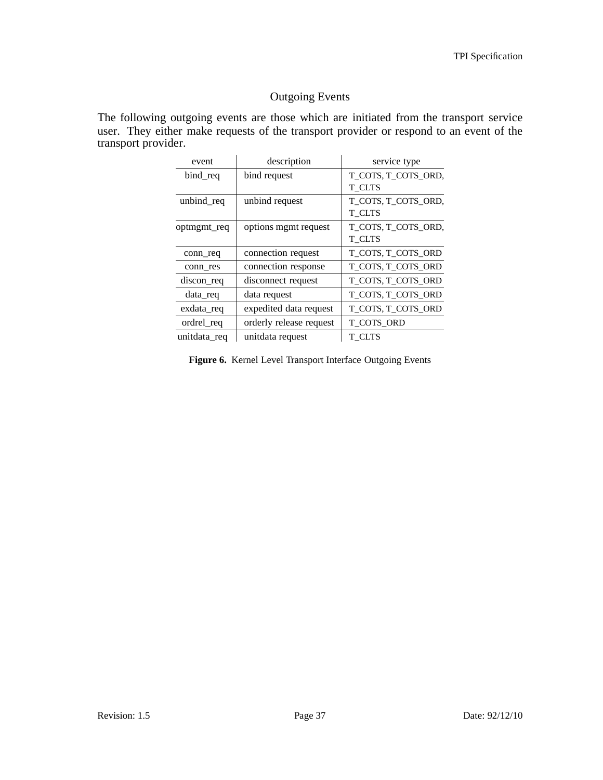## Outgoing Events

The following outgoing events are those which are initiated from the transport service user. They either make requests of the transport provider or respond to an event of the transport provider.

| event        | description             | service type        |
|--------------|-------------------------|---------------------|
| bind req     | bind request            | T_COTS, T_COTS_ORD, |
|              |                         | T CLTS              |
| unbind req   | unbind request          | T_COTS, T_COTS_ORD, |
|              |                         | T CLTS              |
| optmgmt_req  | options mgmt request    | T_COTS, T_COTS_ORD, |
|              |                         | T CLTS              |
| conn_req     | connection request      | T COTS, T COTS ORD  |
| conn_res     | connection response     | T_COTS, T_COTS_ORD  |
| discon_req   | disconnect request      | T COTS, T COTS ORD  |
| data req     | data request            | T_COTS, T_COTS_ORD  |
| exdata_req   | expedited data request  | T_COTS, T_COTS_ORD  |
| ordrel_req   | orderly release request | T COTS ORD          |
| unitdata_req | unitdata request        | T CLTS              |

**Figure 6.** Kernel Level Transport Interface Outgoing Events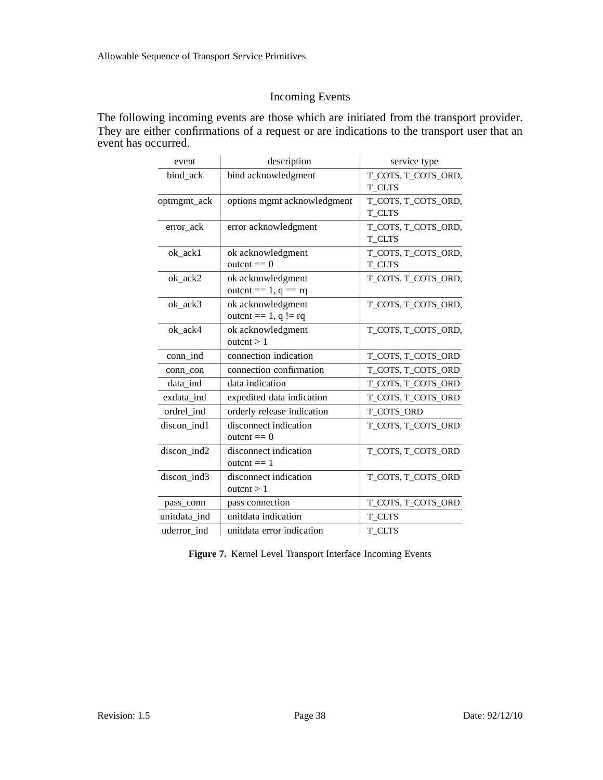## Incoming Events

The following incoming events are those which are initiated from the transport provider. They are either confirmations of a request or are indications to the transport user that an event has occurred.

| event        | description                                   | service type                         |
|--------------|-----------------------------------------------|--------------------------------------|
| bind_ack     | bind acknowledgment                           | T_COTS, T_COTS_ORD,<br><b>T_CLTS</b> |
| optmgmt_ack  | options mgmt acknowledgment                   | T_COTS, T_COTS_ORD,<br>T CLTS        |
| error_ack    | error acknowledgment                          | T_COTS, T_COTS_ORD,<br>T CLTS        |
| ok_ack1      | ok acknowledgment<br>$outcnt == 0$            | T_COTS, T_COTS_ORD,<br>T_CLTS        |
| ok ack2      | ok acknowledgment<br>outcnt = $1, q == rq$    | T_COTS, T_COTS_ORD,                  |
| ok_ack3      | ok acknowledgment<br>outcnt = $1, q$ ! = rq   | T_COTS, T_COTS_ORD,                  |
| ok_ack4      | ok acknowledgment<br>outcnt $> 1$             | T_COTS, T_COTS_ORD,                  |
| conn ind     | connection indication                         | T_COTS, T_COTS_ORD                   |
| conn_con     | connection confirmation                       | T_COTS, T_COTS_ORD                   |
| data ind     | data indication                               | T_COTS, T_COTS_ORD                   |
| exdata ind   | expedited data indication                     | T_COTS, T_COTS_ORD                   |
| ordrel ind   | orderly release indication                    | T_COTS_ORD                           |
| discon_ind1  | disconnect indication<br>$\text{outcnt} == 0$ | T_COTS, T_COTS_ORD                   |
| discon_ind2  | disconnect indication<br>outcnt $== 1$        | T_COTS, T_COTS_ORD                   |
| discon ind3  | disconnect indication<br>outcnt $> 1$         | T_COTS, T_COTS_ORD                   |
| pass_conn    | pass connection                               | T_COTS, T_COTS_ORD                   |
| unitdata ind | unitdata indication                           | <b>T_CLTS</b>                        |
| uderror ind  | unitdata error indication                     | T CLTS                               |

**Figure 7.** Kernel Level Transport Interface Incoming Events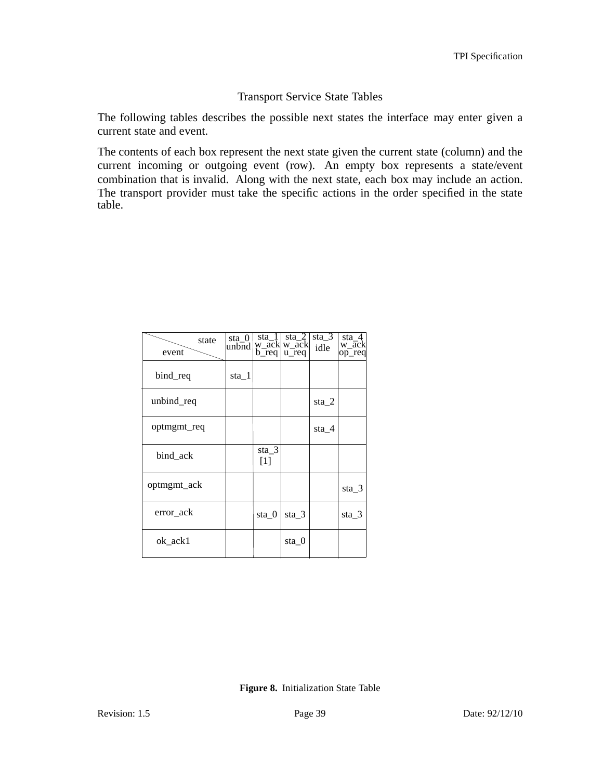### Transport Service State Tables

The following tables describes the possible next states the interface may enter given a current state and event.

The contents of each box represent the next state given the current state (column) and the current incoming or outgoing event (row). An empty box represents a state/event combination that is invalid. Along with the next state, each box may include an action. The transport provider must take the specific actions in the order specified in the state table.

| state<br>event | sta 0<br>unbnd | sta 1<br>$b_{\text{req}}$ | sta 2<br>w_ack w_ack<br>u_req | sta $3$<br>idle | sta 4<br>w ack<br>op_req |
|----------------|----------------|---------------------------|-------------------------------|-----------------|--------------------------|
| bind_req       | sta 1          |                           |                               |                 |                          |
| unbind_req     |                |                           |                               | sta 2           |                          |
| optmgmt_req    |                |                           |                               | sta 4           |                          |
| bind ack       |                | sta_3<br>$[1]$            |                               |                 |                          |
| optmgmt_ack    |                |                           |                               |                 | sta 3                    |
| error ack      |                | sta 0                     | sta 3                         |                 | sta 3                    |
| ok ack1        |                |                           | sta 0                         |                 |                          |

**Figure 8.** Initialization State Table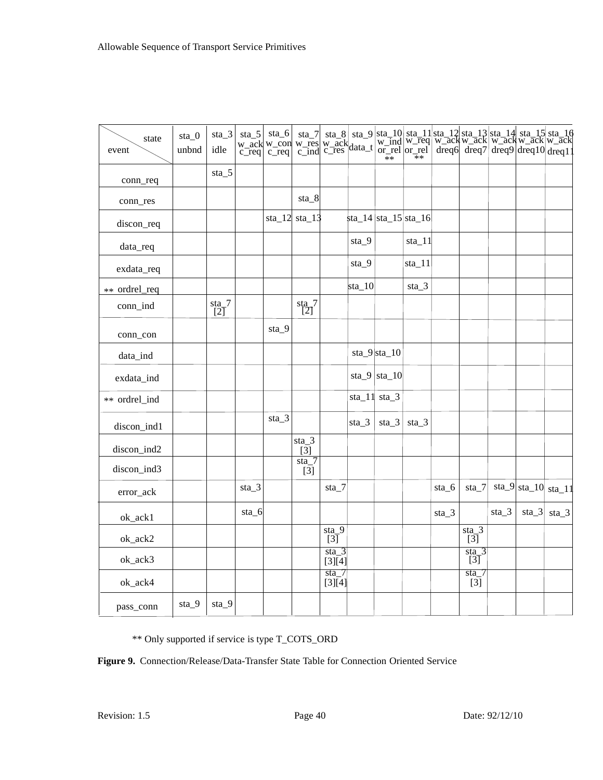| state<br>event | $sta_0$<br>unbnd | $sta_3$<br>idle            |         |         |                          |                                     |          |                                             |          |         |                             |         | ${\scriptsize \begin{array}{l c c c c c} \text{sta\_5} & \text{sta\_6} & \text{sta\_7} & \text{sta\_8} & \text{sta\_9} & \text{sta\_10} & \text{sta\_11} & \text{sta\_12} & \text{sta\_13} & \text{sta\_14} & \text{sta\_15} & \text{sta\_16} \\ \text{w\_ack} & \text{w\_con} & \text{w\_ack} & \text{w\_ack} & \text{w\_ack} & \text{w\_ack} & \text{w\_ack} & \text{w\_ack} & \text{w\_ack} & \text{w\_ack} & \text{w\_ack} & \text{w\_ack} & \$ |          |
|----------------|------------------|----------------------------|---------|---------|--------------------------|-------------------------------------|----------|---------------------------------------------|----------|---------|-----------------------------|---------|-----------------------------------------------------------------------------------------------------------------------------------------------------------------------------------------------------------------------------------------------------------------------------------------------------------------------------------------------------------------------------------------------------------------------------------------------------|----------|
| conn_req       |                  | $sta_5$                    |         |         |                          |                                     |          |                                             |          |         |                             |         |                                                                                                                                                                                                                                                                                                                                                                                                                                                     |          |
| conn_res       |                  |                            |         |         | sta_8                    |                                     |          |                                             |          |         |                             |         |                                                                                                                                                                                                                                                                                                                                                                                                                                                     |          |
| discon_req     |                  |                            |         |         | sta_12 sta_13            |                                     |          | $\frac{14}{\text{sta}\_15}{\text{sta}\_16}$ |          |         |                             |         |                                                                                                                                                                                                                                                                                                                                                                                                                                                     |          |
| data_req       |                  |                            |         |         |                          |                                     | sta_9    |                                             | $sta_11$ |         |                             |         |                                                                                                                                                                                                                                                                                                                                                                                                                                                     |          |
| exdata_req     |                  |                            |         |         |                          |                                     | sta_9    |                                             | $sta_11$ |         |                             |         |                                                                                                                                                                                                                                                                                                                                                                                                                                                     |          |
| ** ordrel_req  |                  |                            |         |         |                          |                                     | $sta_10$ |                                             | $sta_3$  |         |                             |         |                                                                                                                                                                                                                                                                                                                                                                                                                                                     |          |
| conn_ind       |                  | $\frac{\text{sta}}{[2]}$ 7 |         |         | $\frac{\text{sta}}{[2]}$ |                                     |          |                                             |          |         |                             |         |                                                                                                                                                                                                                                                                                                                                                                                                                                                     |          |
| conn_con       |                  |                            |         | $sta_9$ |                          |                                     |          |                                             |          |         |                             |         |                                                                                                                                                                                                                                                                                                                                                                                                                                                     |          |
| data_ind       |                  |                            |         |         |                          |                                     |          | $sta_9$  sta_10                             |          |         |                             |         |                                                                                                                                                                                                                                                                                                                                                                                                                                                     |          |
| exdata_ind     |                  |                            |         |         |                          |                                     |          | sta_9 sta_10                                |          |         |                             |         |                                                                                                                                                                                                                                                                                                                                                                                                                                                     |          |
| ** ordrel_ind  |                  |                            |         |         |                          |                                     |          | $sta_11$ sta $3$                            |          |         |                             |         |                                                                                                                                                                                                                                                                                                                                                                                                                                                     |          |
| discon_ind1    |                  |                            |         | $sta_3$ |                          |                                     | $sta_3$  | $sta_3$                                     | $sta_3$  |         |                             |         |                                                                                                                                                                                                                                                                                                                                                                                                                                                     |          |
| discon_ind2    |                  |                            |         |         | $sta_3$<br>[3]           |                                     |          |                                             |          |         |                             |         |                                                                                                                                                                                                                                                                                                                                                                                                                                                     |          |
| discon_ind3    |                  |                            |         |         | $\text{sta}$ 7<br>$[3]$  |                                     |          |                                             |          |         |                             |         |                                                                                                                                                                                                                                                                                                                                                                                                                                                     |          |
| error_ack      |                  |                            | $sta_3$ |         |                          | $sta_7$                             |          |                                             |          | sta_6   | $sta_7$                     |         | $\vert \text{sta\_9} \vert \text{sta\_10}$                                                                                                                                                                                                                                                                                                                                                                                                          | $sta_11$ |
| ok_ack1        |                  |                            | sta_6   |         |                          |                                     |          |                                             |          | $sta_3$ |                             | $sta_3$ | $sta_3$                                                                                                                                                                                                                                                                                                                                                                                                                                             | $sta_3$  |
| ok_ack2        |                  |                            |         |         |                          | $sta_9$<br>[3]                      |          |                                             |          |         | $sta_3$<br>$\overline{[3]}$ |         |                                                                                                                                                                                                                                                                                                                                                                                                                                                     |          |
| ok_ack3        |                  |                            |         |         |                          | $sta_3$<br>[3][4]                   |          |                                             |          |         | $sta_3$<br>[3]              |         |                                                                                                                                                                                                                                                                                                                                                                                                                                                     |          |
| ok_ack4        |                  |                            |         |         |                          | $\overline{\text{sta}}$ 7<br>[3][4] |          |                                             |          |         | sta<br>$[3]$                |         |                                                                                                                                                                                                                                                                                                                                                                                                                                                     |          |
| pass_conn      | sta_9            | $sta_9$                    |         |         |                          |                                     |          |                                             |          |         |                             |         |                                                                                                                                                                                                                                                                                                                                                                                                                                                     |          |

\*\* Only supported if service is type T\_COTS\_ORD

**Figure 9.** Connection/Release/Data-Transfer State Table for Connection Oriented Service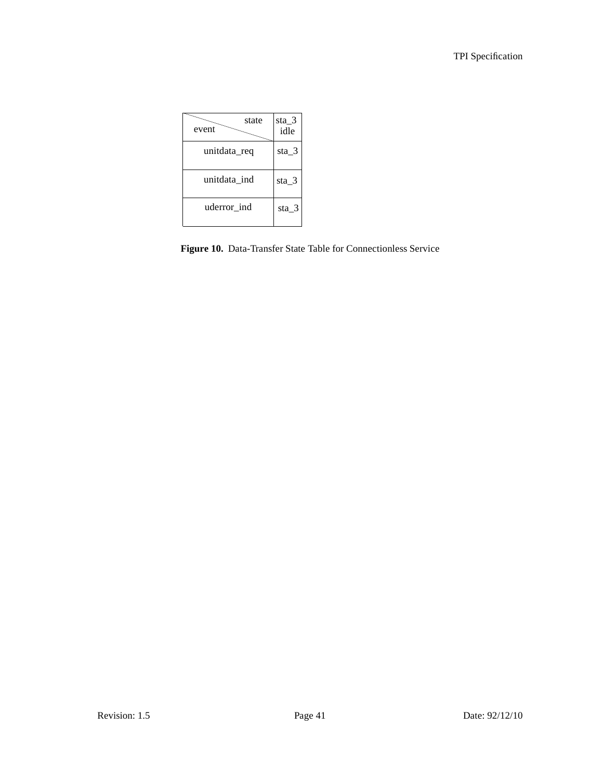| state<br>event | sta 3<br>idle |
|----------------|---------------|
| unitdata_req   | sta $3$       |
| unitdata ind   | sta 3         |
| uderror_ind    | sta 3         |

**Figure 10.** Data-Transfer State Table for Connectionless Service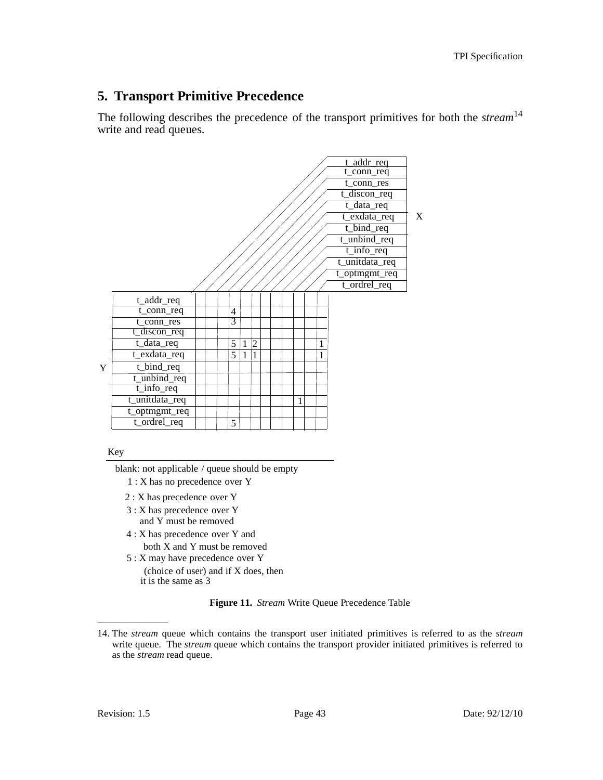## **5. Transport Primitive Precedence**

The following describes the precedence of the transport primitives for both the *stream*<sup>14</sup> write and read queues.



Key

blank: not applicable / queue should be empty

- 1 : X has no precedence over Y
- 2 : X has precedence over Y
- 3 : X has precedence over Y
	- and Y must be removed
- both X and Y must be removed 4 : X has precedence over Y and
- 5 : X may have precedence over Y
	- (choice of user) and if X does, then
	- it is the same as 3

**Figure 11.** *Stream* Write Queue Precedence Table

\_\_\_\_\_\_\_\_\_\_\_\_\_\_\_\_\_\_

<sup>14.</sup> The *stream* queue which contains the transport user initiated primitives is referred to as the *stream* write queue. The *stream* queue which contains the transport provider initiated primitives is referred to as the *stream* read queue.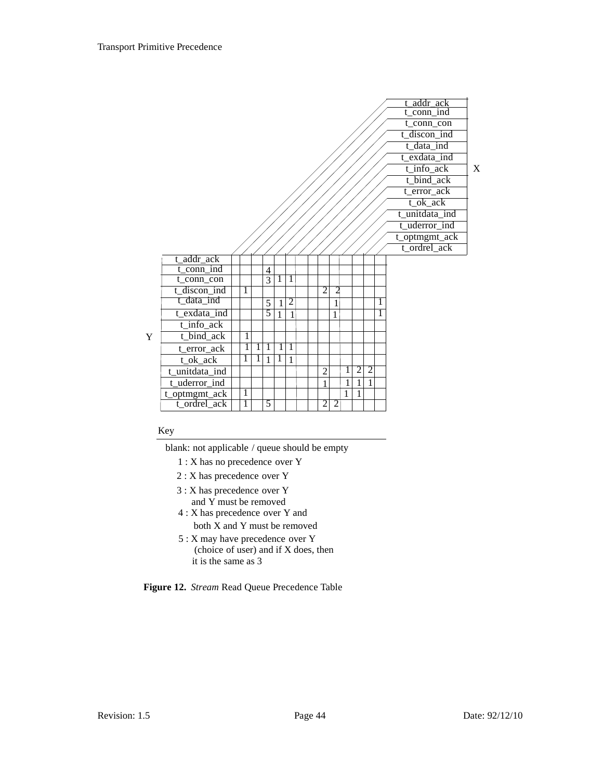|   |                     |              |                |                |   |                |  |                |                |              |                |                |   | t addr ack      |   |
|---|---------------------|--------------|----------------|----------------|---|----------------|--|----------------|----------------|--------------|----------------|----------------|---|-----------------|---|
|   |                     |              |                |                |   |                |  |                |                |              |                |                |   | $t_{conn\_ind}$ |   |
|   |                     |              |                |                |   |                |  |                |                |              |                |                |   | t_conn_con      |   |
|   |                     |              |                |                |   |                |  |                |                |              |                |                |   | t_discon_ind    |   |
|   |                     |              |                |                |   |                |  |                |                |              |                |                |   | $t_data$ ind    |   |
|   |                     |              |                |                |   |                |  |                |                |              |                |                |   | t_exdata_ind    |   |
|   |                     |              |                |                |   |                |  |                |                |              |                |                |   | t_info_ack      | X |
|   |                     |              |                |                |   |                |  |                |                |              |                |                |   | t_bind_ack      |   |
|   |                     |              |                |                |   |                |  |                |                |              |                |                |   | t_error_ack     |   |
|   |                     |              |                |                |   |                |  |                |                |              |                |                |   | t_ok_ack        |   |
|   |                     |              |                |                |   |                |  |                |                |              |                |                |   | t_unitdata_ind  |   |
|   |                     |              |                |                |   |                |  |                |                |              |                |                |   | t_uderror_ind   |   |
|   |                     |              |                |                |   |                |  |                |                |              |                |                |   | t_optmgmt_ack   |   |
|   |                     |              |                |                |   |                |  |                |                |              |                |                |   | t_ordrel_ack    |   |
|   | t_addr_ack          |              |                |                |   |                |  |                |                |              |                |                |   |                 |   |
|   | $t_{\rm conn\_ind}$ |              |                | 4              |   |                |  |                |                |              |                |                |   |                 |   |
|   | t_conn_con          |              |                | $\overline{3}$ | 1 | 1              |  |                |                |              |                |                |   |                 |   |
|   | t_discon_ind        | 1            |                |                |   |                |  | $\overline{2}$ | $\overline{c}$ |              |                |                |   |                 |   |
|   | t_data_ind          |              |                | 5              | 1 | $\overline{c}$ |  |                | 1              |              |                |                | 1 |                 |   |
|   | t_exdata_ind        |              |                | $\overline{5}$ | 1 | 1              |  |                | 1              |              |                |                | 1 |                 |   |
|   | $t$ _info_ack       |              |                |                |   |                |  |                |                |              |                |                |   |                 |   |
| Y | t_bind_ack          | 1            |                |                |   |                |  |                |                |              |                |                |   |                 |   |
|   | t_error_ack         | 1            | 1              | 1              | 1 | 1              |  |                |                |              |                |                |   |                 |   |
|   | t_ok_ack            | 1            | $\overline{1}$ | 1              | 1 | $\mathbf{1}$   |  |                |                |              |                |                |   |                 |   |
|   | t_unitdata_ind      |              |                |                |   |                |  | $\overline{2}$ |                | 1            | $\overline{2}$ | $\overline{2}$ |   |                 |   |
|   | t_uderror_ind       |              |                |                |   |                |  | 1              |                | 1            | 1              | 1              |   |                 |   |
|   | t_optmgmt_ack       | $\mathbf{1}$ |                |                |   |                |  |                |                | $\mathbf{1}$ | 1              |                |   |                 |   |
|   | t_ordrel_ack        | 1            |                | 5              |   |                |  | $\overline{2}$ | $\overline{2}$ |              |                |                |   |                 |   |
|   |                     |              |                |                |   |                |  |                |                |              |                |                |   |                 |   |

#### Key

blank: not applicable / queue should be empty

- 1 : X has no precedence over Y
- 2 : X has precedence over Y
- 3 : X has precedence over Y and Y must be removed
- 4 : X has precedence over Y and both X and Y must be removed
- 5 : X may have precedence over Y (choice of user) and if X does, then it is the same as 3

**Figure 12.** *Stream* Read Queue Precedence Table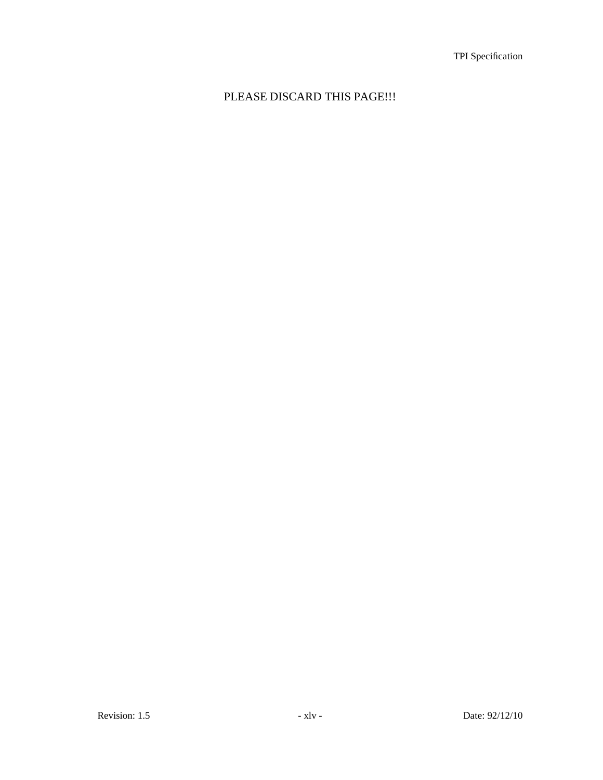## PLEASE DISCARD THIS PAGE!!!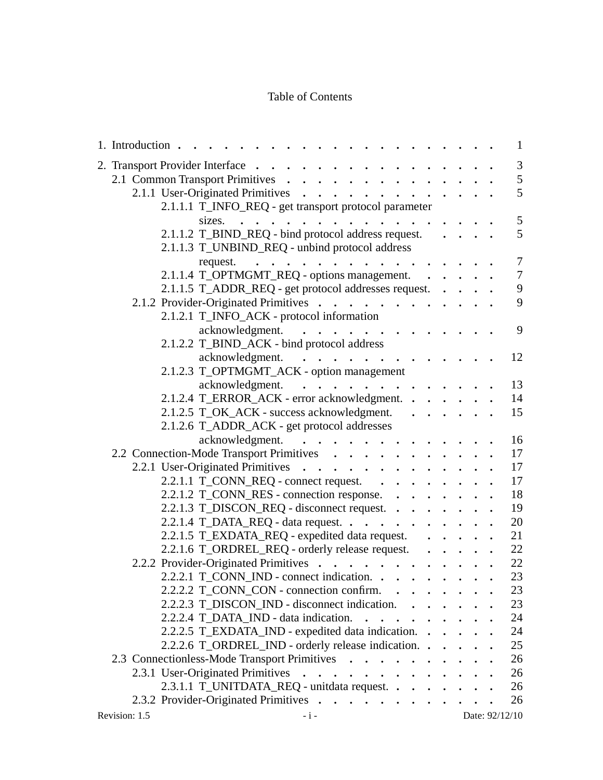## Table of Contents

| 1. Introduction .                                                                                                           |   |  | $\mathbf{1}$   |
|-----------------------------------------------------------------------------------------------------------------------------|---|--|----------------|
| 2. Transport Provider Interface<br>$\ddot{\phantom{a}}$                                                                     |   |  | $\mathfrak{Z}$ |
| 2.1 Common Transport Primitives .                                                                                           |   |  | 5              |
| 2.1.1 User-Originated Primitives<br>.                                                                                       |   |  | 5              |
| 2.1.1.1 T_INFO_REQ - get transport protocol parameter                                                                       |   |  |                |
| sizes. $\cdot$ .<br>$\ddot{\phantom{a}}$<br>$\cdots$                                                                        |   |  | 5              |
| 2.1.1.2 T_BIND_REQ - bind protocol address request.                                                                         |   |  | 5              |
| 2.1.1.3 T_UNBIND_REQ - unbind protocol address                                                                              |   |  |                |
| request. $\cdots$                                                                                                           |   |  | $\tau$         |
| 2.1.1.4 T_OPTMGMT_REQ - options management. .                                                                               |   |  | $\tau$         |
| 2.1.1.5 T_ADDR_REQ - get protocol addresses request.                                                                        |   |  | $\overline{9}$ |
| 2.1.2 Provider-Originated Primitives                                                                                        |   |  | 9              |
| 2.1.2.1 T_INFO_ACK - protocol information                                                                                   |   |  |                |
| acknowledgment.                                                                                                             |   |  | 9              |
| 2.1.2.2 T_BIND_ACK - bind protocol address                                                                                  |   |  |                |
| acknowledgment.                                                                                                             |   |  | 12             |
| 2.1.2.3 T_OPTMGMT_ACK - option management                                                                                   |   |  |                |
| acknowledgment.                                                                                                             |   |  | 13             |
| 2.1.2.4 T_ERROR_ACK - error acknowledgment.                                                                                 |   |  | 14             |
| 2.1.2.5 T_OK_ACK - success acknowledgment.                                                                                  |   |  | 15             |
| 2.1.2.6 T_ADDR_ACK - get protocol addresses                                                                                 |   |  |                |
| acknowledgment.                                                                                                             |   |  | 16             |
| 2.2 Connection-Mode Transport Primitives                                                                                    |   |  | 17             |
| 2.2.1 User-Originated Primitives                                                                                            |   |  | 17             |
| 2.2.1.1 $T_{\text{CONN}}$ REQ - connect request.                                                                            |   |  | 17             |
| 2.2.1.2 T_CONN_RES - connection response.                                                                                   |   |  | 18             |
| 2.2.1.3 T_DISCON_REQ - disconnect request.                                                                                  |   |  | 19             |
| 2.2.1.4 T_DATA_REQ - data request. $\cdot \cdot \cdot \cdot \cdot \cdot \cdot \cdot$                                        |   |  | 20             |
| 2.2.1.5 T_EXDATA_REQ - expedited data request.                                                                              | . |  | 21             |
| 2.2.1.6 T_ORDREL_REQ - orderly release request.                                                                             |   |  | 22             |
| 2.2.2 Provider-Originated Primitives                                                                                        |   |  | 22             |
|                                                                                                                             |   |  | 23             |
| 2.2.2.1 T_CONN_IND - connect indication.                                                                                    |   |  |                |
| $2.2.2.2$ T_CONN_CON - connection confirm. $\cdot \cdot \cdot \cdot \cdot$<br>2.2.2.3 T DISCON IND - disconnect indication. |   |  | 23             |
|                                                                                                                             |   |  | 23             |
| 2.2.2.4 T_DATA_IND - data indication. $\cdot \cdot \cdot \cdot \cdot \cdot \cdot$                                           |   |  | 24             |
| 2.2.2.5 T_EXDATA_IND - expedited data indication.                                                                           |   |  | 24             |
| 2.2.2.6 T_ORDREL_IND - orderly release indication.                                                                          |   |  | 25             |
| 2.3 Connectionless-Mode Transport Primitives                                                                                |   |  | 26             |
| 2.3.1 User-Originated Primitives                                                                                            |   |  | 26             |
| 2.3.1.1 T_UNITDATA_REQ - unitdata request.                                                                                  |   |  | 26             |
| 2.3.2 Provider-Originated Primitives                                                                                        |   |  | 26             |
| $-i-$<br>Revision: 1.5                                                                                                      |   |  | Date: 92/12/10 |